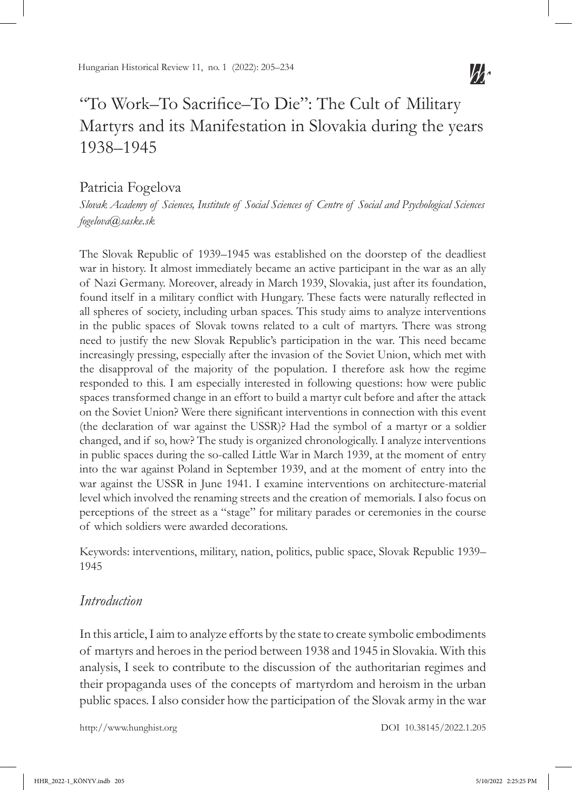# "To Work–To Sacrifice–To Die": The Cult of Military Martyrs and its Manifestation in Slovakia during the years 1938–1945

## Patricia Fogelova

*Slovak Academy of Sciences, Institute of Social Sciences of Centre of Social and Psychological Sciences fogelova@saske.sk*

The Slovak Republic of 1939–1945 was established on the doorstep of the deadliest war in history. It almost immediately became an active participant in the war as an ally of Nazi Germany. Moreover, already in March 1939, Slovakia, just after its foundation, found itself in a military conflict with Hungary. These facts were naturally reflected in all spheres of society, including urban spaces. This study aims to analyze interventions in the public spaces of Slovak towns related to a cult of martyrs. There was strong need to justify the new Slovak Republic's participation in the war. This need became increasingly pressing, especially after the invasion of the Soviet Union, which met with the disapproval of the majority of the population. I therefore ask how the regime responded to this. I am especially interested in following questions: how were public spaces transformed change in an effort to build a martyr cult before and after the attack on the Soviet Union? Were there significant interventions in connection with this event (the declaration of war against the USSR)? Had the symbol of a martyr or a soldier changed, and if so, how? The study is organized chronologically. I analyze interventions in public spaces during the so-called Little War in March 1939, at the moment of entry into the war against Poland in September 1939, and at the moment of entry into the war against the USSR in June 1941. I examine interventions on architecture-material level which involved the renaming streets and the creation of memorials. I also focus on perceptions of the street as a "stage" for military parades or ceremonies in the course of which soldiers were awarded decorations.

Keywords: interventions, military, nation, politics, public space, Slovak Republic 1939– 1945

## *Introduction*

In this article, I aim to analyze efforts by the state to create symbolic embodiments of martyrs and heroes in the period between 1938 and 1945 in Slovakia. With this analysis, I seek to contribute to the discussion of the authoritarian regimes and their propaganda uses of the concepts of martyrdom and heroism in the urban public spaces. I also consider how the participation of the Slovak army in the war

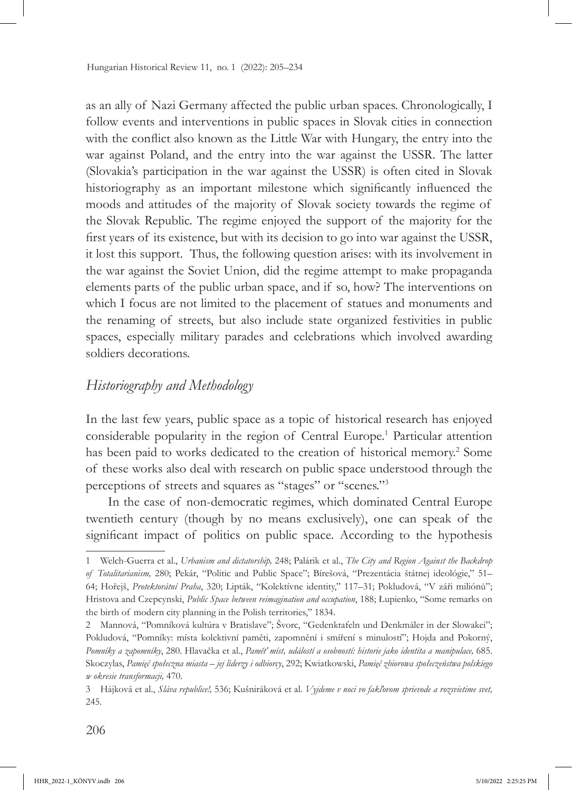as an ally of Nazi Germany affected the public urban spaces. Chronologically, I follow events and interventions in public spaces in Slovak cities in connection with the conflict also known as the Little War with Hungary, the entry into the war against Poland, and the entry into the war against the USSR. The latter (Slovakia's participation in the war against the USSR) is often cited in Slovak historiography as an important milestone which significantly influenced the moods and attitudes of the majority of Slovak society towards the regime of the Slovak Republic. The regime enjoyed the support of the majority for the first years of its existence, but with its decision to go into war against the USSR, it lost this support. Thus, the following question arises: with its involvement in the war against the Soviet Union, did the regime attempt to make propaganda elements parts of the public urban space, and if so, how? The interventions on which I focus are not limited to the placement of statues and monuments and the renaming of streets, but also include state organized festivities in public spaces, especially military parades and celebrations which involved awarding soldiers decorations.

## *Historiography and Methodology*

In the last few years, public space as a topic of historical research has enjoyed considerable popularity in the region of Central Europe.<sup>1</sup> Particular attention has been paid to works dedicated to the creation of historical memory.<sup>2</sup> Some of these works also deal with research on public space understood through the perceptions of streets and squares as "stages" or "scenes."<sup>3</sup>

In the case of non-democratic regimes, which dominated Central Europe twentieth century (though by no means exclusively), one can speak of the significant impact of politics on public space. According to the hypothesis

<sup>1</sup> Welch-Guerra et al., *Urbanism and dictatorship,* 248; Palárik et al., *The City and Region Against the Backdrop of Totalitarianism,* 280; Pekár, "Politic and Public Space"; Bírešová, "Prezentácia štátnej ideológie," 51– 64; Hořejš, *Protektorátní Praha*, 320; Lipták, "Kolektívne identity," 117–31; Pokludová, "V záři miliónů"; Hristova and Czepcynski, *Public Space between reimagination and occupation*, 188; Łupienko, "Some remarks on the birth of modern city planning in the Polish territories," 1834.

<sup>2</sup> Mannová, "Pomníková kultúra v Bratislave"; Švorc, "Gedenktafeln und Denkmäler in der Slowakei"; Pokludová, "Pomníky: místa kolektivní paměti, zapomnění i smíření s minulostí"; Hojda and Pokorný, *Pomníky a zapomníky*, 280. Hlavačka et al., *Paměť míst, událostí a osobností: historie jako identita a manipulace,* 685. Skoczylas, *Pamięć społeczna miasta – jej liderzy i odbiorcy*, 292; Kwiatkowski, *Pamięć zbiorowa społeczeństwa polskiego w okresie transformacji,* 470.

<sup>3</sup> Hájková et al., *Sláva republice!,* 536; Kušniráková et al. *Vyjdeme v noci vo fakľovom sprievode a rozsvietime svet,*  245.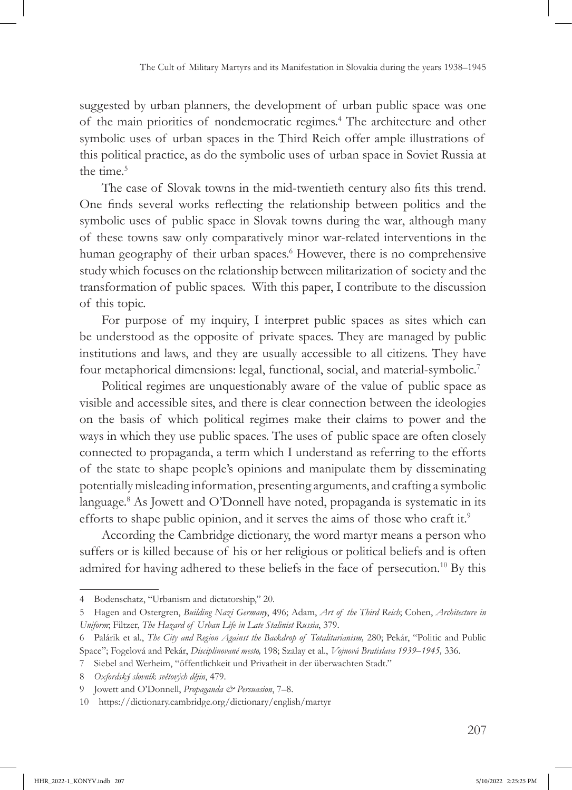suggested by urban planners, the development of urban public space was one of the main priorities of nondemocratic regimes.4 The architecture and other symbolic uses of urban spaces in the Third Reich offer ample illustrations of this political practice, as do the symbolic uses of urban space in Soviet Russia at the time.<sup>5</sup>

The case of Slovak towns in the mid-twentieth century also fits this trend. One finds several works reflecting the relationship between politics and the symbolic uses of public space in Slovak towns during the war, although many of these towns saw only comparatively minor war-related interventions in the human geography of their urban spaces.<sup>6</sup> However, there is no comprehensive study which focuses on the relationship between militarization of society and the transformation of public spaces. With this paper, I contribute to the discussion of this topic.

For purpose of my inquiry, I interpret public spaces as sites which can be understood as the opposite of private spaces. They are managed by public institutions and laws, and they are usually accessible to all citizens. They have four metaphorical dimensions: legal, functional, social, and material-symbolic.7

Political regimes are unquestionably aware of the value of public space as visible and accessible sites, and there is clear connection between the ideologies on the basis of which political regimes make their claims to power and the ways in which they use public spaces. The uses of public space are often closely connected to propaganda, a term which I understand as referring to the efforts of the state to shape people's opinions and manipulate them by disseminating potentially misleading information, presenting arguments, and crafting a symbolic language.<sup>8</sup> As Jowett and O'Donnell have noted, propaganda is systematic in its efforts to shape public opinion, and it serves the aims of those who craft it.<sup>9</sup>

According the Cambridge dictionary, the word martyr means a person who suffers or is killed because of his or her religious or political beliefs and is often admired for having adhered to these beliefs in the face of persecution.<sup>10</sup> By this

<sup>4</sup> Bodenschatz, "Urbanism and dictatorship," 20.

<sup>5</sup> Hagen and Ostergren, *Building Nazi Germany*, 496; Adam, *Art of the Third Reich*; Cohen, *Architecture in Uniform*; Filtzer, *The Hazard of Urban Life in Late Stalinist Russia*, 379.

<sup>6</sup> Palárik et al., *The City and Region Against the Backdrop of Totalitarianism,* 280; Pekár, "Politic and Public Space"; Fogelová and Pekár, *Disciplinované mesto,* 198; Szalay et al., *Vojnová Bratislava 1939–1945,* 336.

<sup>7</sup> Siebel and Werheim, "öffentlichkeit und Privatheit in der überwachten Stadt."

<sup>8</sup> *Oxfordský slovník světových dějin*, 479.

<sup>9</sup> Jowett and O'Donnell, *Propaganda & Persuasion*, 7–8.

<sup>10</sup> https://dictionary.cambridge.org/dictionary/english/martyr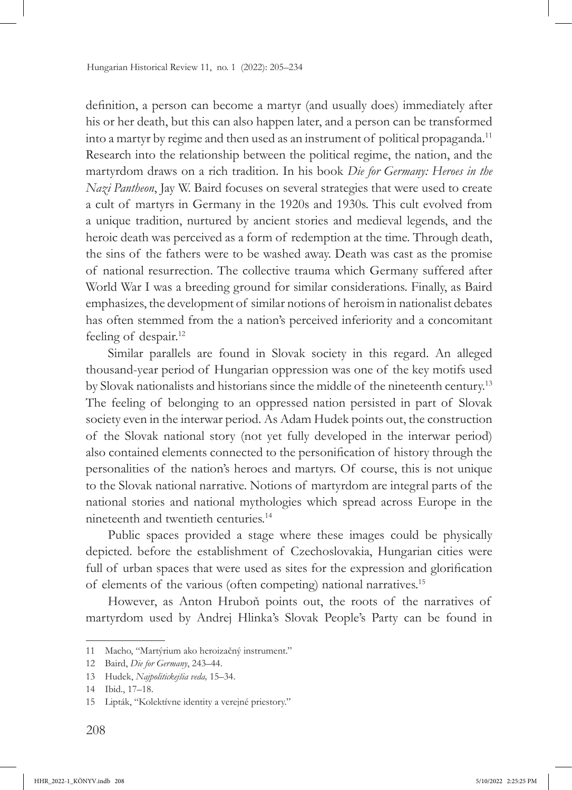definition, a person can become a martyr (and usually does) immediately after his or her death, but this can also happen later, and a person can be transformed into a martyr by regime and then used as an instrument of political propaganda.<sup>11</sup> Research into the relationship between the political regime, the nation, and the martyrdom draws on a rich tradition. In his book *Die for Germany: Heroes in the Nazi Pantheon*, Jay W. Baird focuses on several strategies that were used to create a cult of martyrs in Germany in the 1920s and 1930s. This cult evolved from a unique tradition, nurtured by ancient stories and medieval legends, and the heroic death was perceived as a form of redemption at the time. Through death, the sins of the fathers were to be washed away. Death was cast as the promise of national resurrection. The collective trauma which Germany suffered after World War I was a breeding ground for similar considerations. Finally, as Baird emphasizes, the development of similar notions of heroism in nationalist debates has often stemmed from the a nation's perceived inferiority and a concomitant feeling of despair.<sup>12</sup>

Similar parallels are found in Slovak society in this regard. An alleged thousand-year period of Hungarian oppression was one of the key motifs used by Slovak nationalists and historians since the middle of the nineteenth century.13 The feeling of belonging to an oppressed nation persisted in part of Slovak society even in the interwar period. As Adam Hudek points out, the construction of the Slovak national story (not yet fully developed in the interwar period) also contained elements connected to the personification of history through the personalities of the nation's heroes and martyrs. Of course, this is not unique to the Slovak national narrative. Notions of martyrdom are integral parts of the national stories and national mythologies which spread across Europe in the nineteenth and twentieth centuries.14

Public spaces provided a stage where these images could be physically depicted. before the establishment of Czechoslovakia, Hungarian cities were full of urban spaces that were used as sites for the expression and glorification of elements of the various (often competing) national narratives.15

However, as Anton Hruboň points out, the roots of the narratives of martyrdom used by Andrej Hlinka's Slovak People's Party can be found in

<sup>11</sup> Macho, "Martýrium ako heroizačný instrument."

<sup>12</sup> Baird, *Die for Germany*, 243–44.

<sup>13</sup> Hudek, *Najpolitickejšia veda,* 15–34.

<sup>14</sup> Ibid., 17–18.

<sup>15</sup> Lipták, "Kolektívne identity a verejné priestory."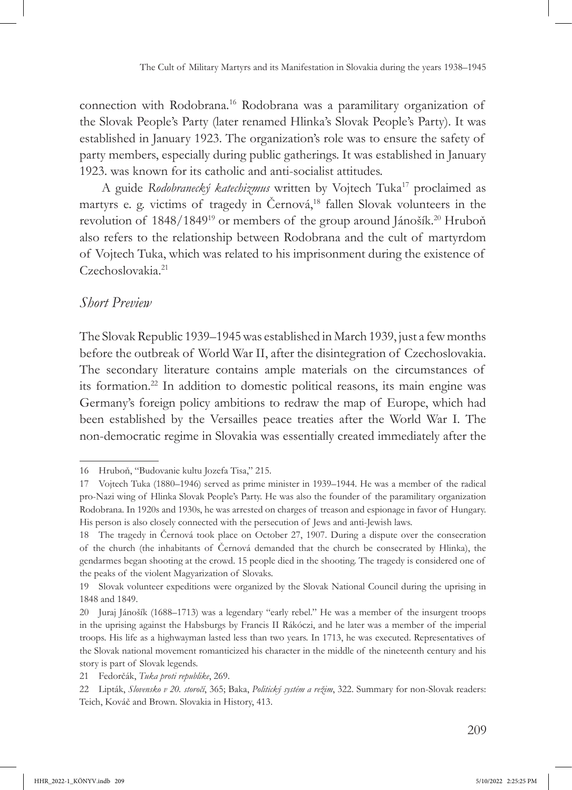connection with Rodobrana.16 Rodobrana was a paramilitary organization of the Slovak People's Party (later renamed Hlinka's Slovak People's Party). It was established in January 1923. The organization's role was to ensure the safety of party members, especially during public gatherings. It was established in January 1923. was known for its catholic and anti-socialist attitudes.

A guide *Rodobranecký katechizmus* written by Vojtech Tuka<sup>17</sup> proclaimed as martyrs e. g. victims of tragedy in Černová,<sup>18</sup> fallen Slovak volunteers in the revolution of 1848/1849<sup>19</sup> or members of the group around Jánošík.<sup>20</sup> Hruboň also refers to the relationship between Rodobrana and the cult of martyrdom of Vojtech Tuka, which was related to his imprisonment during the existence of Czechoslovakia<sup>21</sup>

## *Short Preview*

The Slovak Republic 1939–1945 was established in March 1939, just a few months before the outbreak of World War II, after the disintegration of Czechoslovakia. The secondary literature contains ample materials on the circumstances of its formation.22 In addition to domestic political reasons, its main engine was Germany's foreign policy ambitions to redraw the map of Europe, which had been established by the Versailles peace treaties after the World War I. The non-democratic regime in Slovakia was essentially created immediately after the

<sup>16</sup> Hruboň, "Budovanie kultu Jozefa Tisa," 215.

<sup>17</sup> Vojtech Tuka (1880–1946) served as prime minister in 1939–1944. He was a member of the radical pro-Nazi wing of Hlinka Slovak People's Party. He was also the founder of the paramilitary organization Rodobrana. In 1920s and 1930s, he was arrested on charges of treason and espionage in favor of Hungary. His person is also closely connected with the persecution of Jews and anti-Jewish laws.

<sup>18</sup> The tragedy in Černová took place on October 27, 1907. During a dispute over the consecration of the church (the inhabitants of Černová demanded that the church be consecrated by Hlinka), the gendarmes began shooting at the crowd. 15 people died in the shooting. The tragedy is considered one of the peaks of the violent Magyarization of Slovaks.

<sup>19</sup> Slovak volunteer expeditions were organized by the Slovak National Council during the uprising in 1848 and 1849.

<sup>20</sup> Juraj Jánošík (1688–1713) was a legendary "early rebel." He was a member of the insurgent troops in the uprising against the Habsburgs by Francis II Rákóczi, and he later was a member of the imperial troops. His life as a highwayman lasted less than two years. In 1713, he was executed. Representatives of the Slovak national movement romanticized his character in the middle of the nineteenth century and his story is part of Slovak legends.

<sup>21</sup> Fedorčák, *Tuka proti republike*, 269.

<sup>22</sup> Lipták, *Slovensko v 20. storočí*, 365; Baka, *Politický systém a režim*, 322. Summary for non-Slovak readers: Teich, Kováč and Brown. Slovakia in History, 413.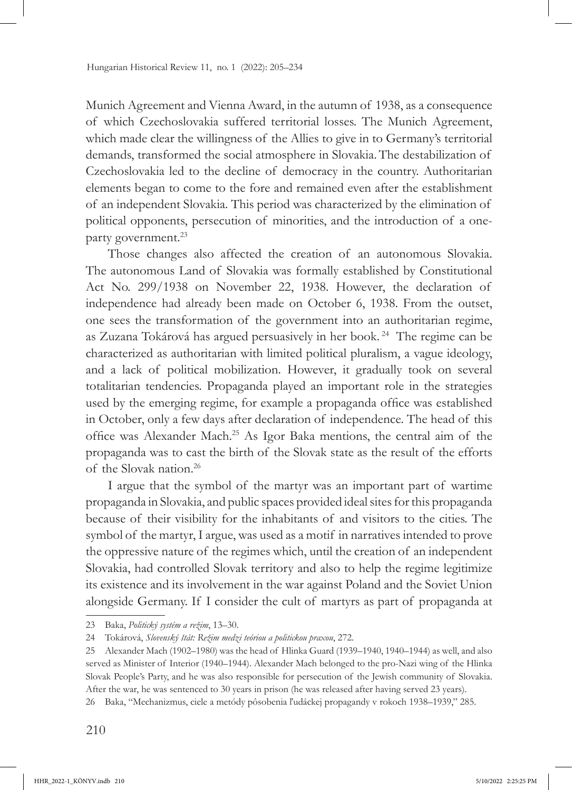Munich Agreement and Vienna Award, in the autumn of 1938, as a consequence of which Czechoslovakia suffered territorial losses. The Munich Agreement, which made clear the willingness of the Allies to give in to Germany's territorial demands, transformed the social atmosphere in Slovakia.The destabilization of Czechoslovakia led to the decline of democracy in the country. Authoritarian elements began to come to the fore and remained even after the establishment of an independent Slovakia. This period was characterized by the elimination of political opponents, persecution of minorities, and the introduction of a oneparty government.<sup>23</sup>

Those changes also affected the creation of an autonomous Slovakia. The autonomous Land of Slovakia was formally established by Constitutional Act No. 299/1938 on November 22, 1938. However, the declaration of independence had already been made on October 6, 1938. From the outset, one sees the transformation of the government into an authoritarian regime, as Zuzana Tokárová has argued persuasively in her book. 24 The regime can be characterized as authoritarian with limited political pluralism, a vague ideology, and a lack of political mobilization. However, it gradually took on several totalitarian tendencies. Propaganda played an important role in the strategies used by the emerging regime, for example a propaganda office was established in October, only a few days after declaration of independence. The head of this office was Alexander Mach.25 As Igor Baka mentions, the central aim of the propaganda was to cast the birth of the Slovak state as the result of the efforts of the Slovak nation.26

I argue that the symbol of the martyr was an important part of wartime propaganda in Slovakia, and public spaces provided ideal sites for this propaganda because of their visibility for the inhabitants of and visitors to the cities. The symbol of the martyr, I argue, was used as a motif in narratives intended to prove the oppressive nature of the regimes which, until the creation of an independent Slovakia, had controlled Slovak territory and also to help the regime legitimize its existence and its involvement in the war against Poland and the Soviet Union alongside Germany. If I consider the cult of martyrs as part of propaganda at

<sup>23</sup> Baka, *Politický systém a režim*, 13–30.

<sup>24</sup> Tokárová, *Slovenský štát: Režim medzi teóriou a politickou praxou*, 272.

<sup>25</sup> Alexander Mach (1902–1980) was the head of Hlinka Guard (1939–1940, 1940–1944) as well, and also served as Minister of Interior (1940–1944). Alexander Mach belonged to the pro-Nazi wing of the Hlinka Slovak People's Party, and he was also responsible for persecution of the Jewish community of Slovakia. After the war, he was sentenced to 30 years in prison (he was released after having served 23 years).

<sup>26</sup> Baka, "Mechanizmus, ciele a metódy pôsobenia ľudáckej propagandy v rokoch 1938–1939," 285.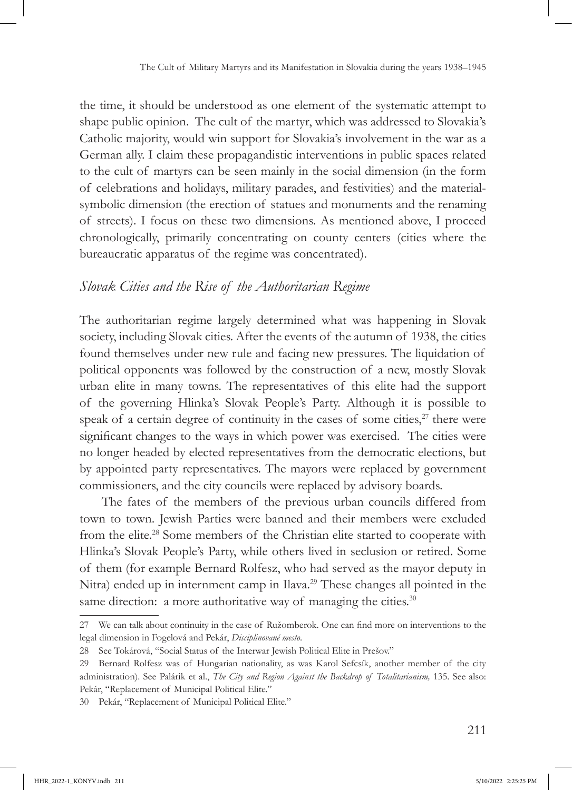the time, it should be understood as one element of the systematic attempt to shape public opinion. The cult of the martyr, which was addressed to Slovakia's Catholic majority, would win support for Slovakia's involvement in the war as a German ally. I claim these propagandistic interventions in public spaces related to the cult of martyrs can be seen mainly in the social dimension (in the form of celebrations and holidays, military parades, and festivities) and the materialsymbolic dimension (the erection of statues and monuments and the renaming of streets). I focus on these two dimensions. As mentioned above, I proceed chronologically, primarily concentrating on county centers (cities where the bureaucratic apparatus of the regime was concentrated).

## *Slovak Cities and the Rise of the Authoritarian Regime*

The authoritarian regime largely determined what was happening in Slovak society, including Slovak cities. After the events of the autumn of 1938, the cities found themselves under new rule and facing new pressures. The liquidation of political opponents was followed by the construction of a new, mostly Slovak urban elite in many towns. The representatives of this elite had the support of the governing Hlinka's Slovak People's Party. Although it is possible to speak of a certain degree of continuity in the cases of some cities, $2^7$  there were significant changes to the ways in which power was exercised. The cities were no longer headed by elected representatives from the democratic elections, but by appointed party representatives. The mayors were replaced by government commissioners, and the city councils were replaced by advisory boards.

The fates of the members of the previous urban councils differed from town to town. Jewish Parties were banned and their members were excluded from the elite.<sup>28</sup> Some members of the Christian elite started to cooperate with Hlinka's Slovak People's Party, while others lived in seclusion or retired. Some of them (for example Bernard Rolfesz, who had served as the mayor deputy in Nitra) ended up in internment camp in Ilava.<sup>29</sup> These changes all pointed in the same direction: a more authoritative way of managing the cities.<sup>30</sup>

<sup>27</sup> We can talk about continuity in the case of Ružomberok. One can find more on interventions to the legal dimension in Fogelová and Pekár, *Disciplinované mesto*.

<sup>28</sup> See Tokárová, "Social Status of the Interwar Jewish Political Elite in Prešov."

<sup>29</sup> Bernard Rolfesz was of Hungarian nationality, as was Karol Sefcsík, another member of the city administration). See Palárik et al., *The City and Region Against the Backdrop of Totalitarianism,* 135. See also: Pekár, "Replacement of Municipal Political Elite."

<sup>30</sup> Pekár, "Replacement of Municipal Political Elite."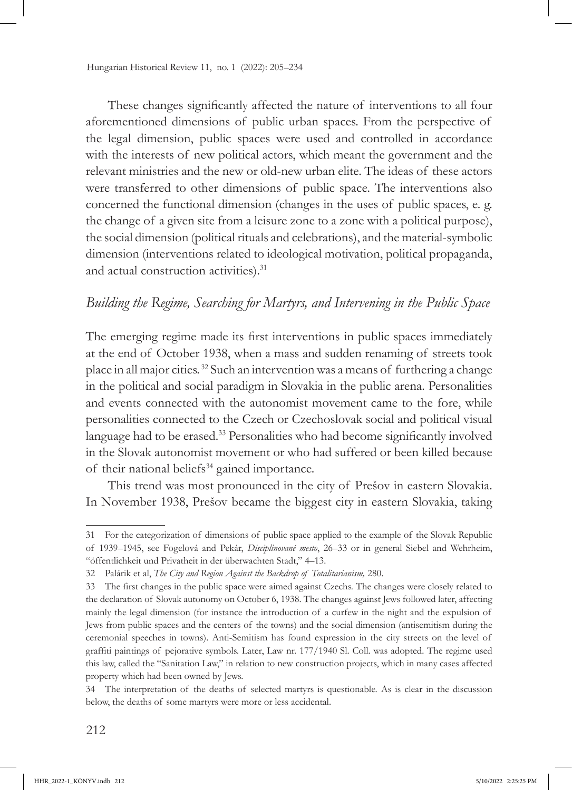These changes significantly affected the nature of interventions to all four aforementioned dimensions of public urban spaces. From the perspective of the legal dimension, public spaces were used and controlled in accordance with the interests of new political actors, which meant the government and the relevant ministries and the new or old-new urban elite. The ideas of these actors were transferred to other dimensions of public space. The interventions also concerned the functional dimension (changes in the uses of public spaces, e. g. the change of a given site from a leisure zone to a zone with a political purpose), the social dimension (political rituals and celebrations), and the material-symbolic dimension (interventions related to ideological motivation, political propaganda, and actual construction activities).<sup>31</sup>

### *Building the Regime, Searching for Martyrs, and Intervening in the Public Space*

The emerging regime made its first interventions in public spaces immediately at the end of October 1938, when a mass and sudden renaming of streets took place in all major cities. 32 Such an intervention was a means of furthering a change in the political and social paradigm in Slovakia in the public arena. Personalities and events connected with the autonomist movement came to the fore, while personalities connected to the Czech or Czechoslovak social and political visual language had to be erased.<sup>33</sup> Personalities who had become significantly involved in the Slovak autonomist movement or who had suffered or been killed because of their national beliefs<sup>34</sup> gained importance.

This trend was most pronounced in the city of Prešov in eastern Slovakia. In November 1938, Prešov became the biggest city in eastern Slovakia, taking

<sup>31</sup> For the categorization of dimensions of public space applied to the example of the Slovak Republic of 1939–1945, see Fogelová and Pekár, *Disciplinované mesto*, 26–33 or in general Siebel and Wehrheim, "öffentlichkeit und Privatheit in der überwachten Stadt," 4–13.

<sup>32</sup> Palárik et al, *The City and Region Against the Backdrop of Totalitarianism,* 280.

<sup>33</sup> The first changes in the public space were aimed against Czechs. The changes were closely related to the declaration of Slovak autonomy on October 6, 1938. The changes against Jews followed later, affecting mainly the legal dimension (for instance the introduction of a curfew in the night and the expulsion of Jews from public spaces and the centers of the towns) and the social dimension (antisemitism during the ceremonial speeches in towns). Anti-Semitism has found expression in the city streets on the level of graffiti paintings of pejorative symbols. Later, Law nr. 177/1940 Sl. Coll. was adopted. The regime used this law, called the "Sanitation Law," in relation to new construction projects, which in many cases affected property which had been owned by Jews.

<sup>34</sup> The interpretation of the deaths of selected martyrs is questionable. As is clear in the discussion below, the deaths of some martyrs were more or less accidental.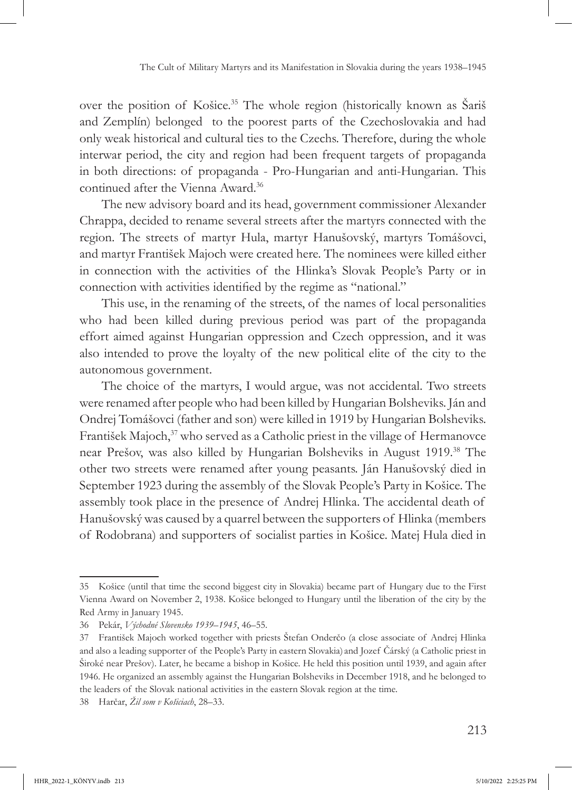over the position of Košice.<sup>35</sup> The whole region (historically known as Sariš and Zemplín) belonged to the poorest parts of the Czechoslovakia and had only weak historical and cultural ties to the Czechs. Therefore, during the whole interwar period, the city and region had been frequent targets of propaganda in both directions: of propaganda - Pro-Hungarian and anti-Hungarian. This continued after the Vienna Award.36

The new advisory board and its head, government commissioner Alexander Chrappa, decided to rename several streets after the martyrs connected with the region. The streets of martyr Hula, martyr Hanušovský, martyrs Tomášovci, and martyr František Majoch were created here. The nominees were killed either in connection with the activities of the Hlinka's Slovak People's Party or in connection with activities identified by the regime as "national."

This use, in the renaming of the streets, of the names of local personalities who had been killed during previous period was part of the propaganda effort aimed against Hungarian oppression and Czech oppression, and it was also intended to prove the loyalty of the new political elite of the city to the autonomous government.

The choice of the martyrs, I would argue, was not accidental. Two streets were renamed after people who had been killed by Hungarian Bolsheviks. Ján and Ondrej Tomášovci (father and son) were killed in 1919 by Hungarian Bolsheviks. František Majoch,<sup>37</sup> who served as a Catholic priest in the village of Hermanovce near Prešov, was also killed by Hungarian Bolsheviks in August 1919.38 The other two streets were renamed after young peasants. Ján Hanušovský died in September 1923 during the assembly of the Slovak People's Party in Košice. The assembly took place in the presence of Andrej Hlinka. The accidental death of Hanušovský was caused by a quarrel between the supporters of Hlinka (members of Rodobrana) and supporters of socialist parties in Košice. Matej Hula died in

<sup>35</sup> Košice (until that time the second biggest city in Slovakia) became part of Hungary due to the First Vienna Award on November 2, 1938. Košice belonged to Hungary until the liberation of the city by the Red Army in January 1945.

<sup>36</sup> Pekár, *Východné Slovensko 1939–1945*, 46–55.

<sup>37</sup> František Majoch worked together with priests Štefan Onderčo (a close associate of Andrej Hlinka and also a leading supporter of the People's Party in eastern Slovakia) and Jozef Čárský (a Catholic priest in Široké near Prešov). Later, he became a bishop in Košice. He held this position until 1939, and again after 1946. He organized an assembly against the Hungarian Bolsheviks in December 1918, and he belonged to the leaders of the Slovak national activities in the eastern Slovak region at the time.

<sup>38</sup> Harčar, *Žil som v Košiciach*, 28–33.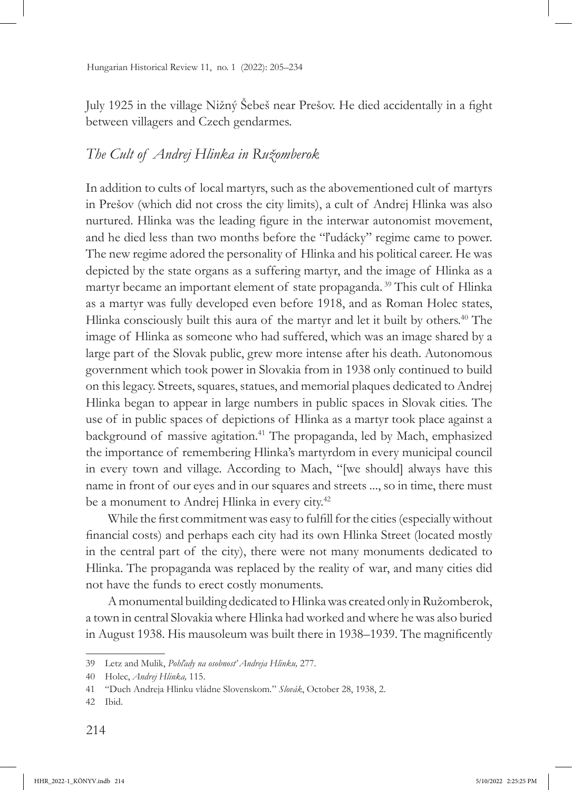July 1925 in the village Nižný Šebeš near Prešov. He died accidentally in a fight between villagers and Czech gendarmes.

## *The Cult of Andrej Hlinka in Ružomberok*

In addition to cults of local martyrs, such as the abovementioned cult of martyrs in Prešov (which did not cross the city limits), a cult of Andrej Hlinka was also nurtured. Hlinka was the leading figure in the interwar autonomist movement, and he died less than two months before the "ľudácky" regime came to power. The new regime adored the personality of Hlinka and his political career. He was depicted by the state organs as a suffering martyr, and the image of Hlinka as a martyr became an important element of state propaganda. 39 This cult of Hlinka as a martyr was fully developed even before 1918, and as Roman Holec states, Hlinka consciously built this aura of the martyr and let it built by others.<sup>40</sup> The image of Hlinka as someone who had suffered, which was an image shared by a large part of the Slovak public, grew more intense after his death. Autonomous government which took power in Slovakia from in 1938 only continued to build on this legacy. Streets, squares, statues, and memorial plaques dedicated to Andrej Hlinka began to appear in large numbers in public spaces in Slovak cities. The use of in public spaces of depictions of Hlinka as a martyr took place against a background of massive agitation.41 The propaganda, led by Mach, emphasized the importance of remembering Hlinka's martyrdom in every municipal council in every town and village. According to Mach, "[we should] always have this name in front of our eyes and in our squares and streets ..., so in time, there must be a monument to Andrej Hlinka in every city.<sup>42</sup>

While the first commitment was easy to fulfill for the cities (especially without financial costs) and perhaps each city had its own Hlinka Street (located mostly in the central part of the city), there were not many monuments dedicated to Hlinka. The propaganda was replaced by the reality of war, and many cities did not have the funds to erect costly monuments.

A monumental building dedicated to Hlinka was created only in Ružomberok, a town in central Slovakia where Hlinka had worked and where he was also buried in August 1938. His mausoleum was built there in 1938–1939. The magnificently

<sup>39</sup> Letz and Mulik, *Pohľady na osobnosť Andreja Hlinku,* 277.

<sup>40</sup> Holec, *Andrej Hlinka,* 115.

<sup>41</sup> "Duch Andreja Hlinku vládne Slovenskom*.*" *Slovák*, October 28, 1938, 2.

<sup>42</sup> Ibid.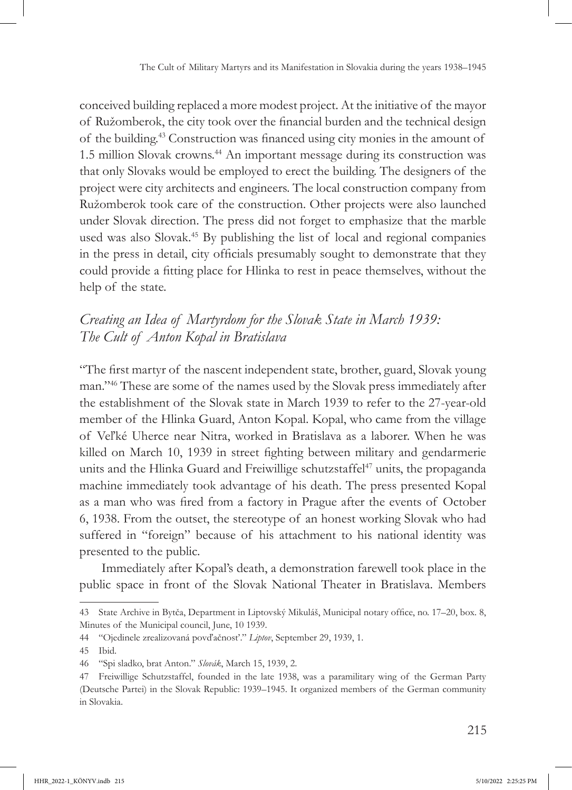conceived building replaced a more modest project. At the initiative of the mayor of Ružomberok, the city took over the financial burden and the technical design of the building.43 Construction was financed using city monies in the amount of 1.5 million Slovak crowns.<sup>44</sup> An important message during its construction was that only Slovaks would be employed to erect the building. The designers of the project were city architects and engineers. The local construction company from Ružomberok took care of the construction. Other projects were also launched under Slovak direction. The press did not forget to emphasize that the marble used was also Slovak.<sup>45</sup> By publishing the list of local and regional companies in the press in detail, city officials presumably sought to demonstrate that they could provide a fitting place for Hlinka to rest in peace themselves, without the help of the state.

## *Creating an Idea of Martyrdom for the Slovak State in March 1939: The Cult of Anton Kopal in Bratislava*

"The first martyr of the nascent independent state, brother, guard, Slovak young man."46 These are some of the names used by the Slovak press immediately after the establishment of the Slovak state in March 1939 to refer to the 27-year-old member of the Hlinka Guard, Anton Kopal. Kopal, who came from the village of Veľké Uherce near Nitra, worked in Bratislava as a laborer. When he was killed on March 10, 1939 in street fighting between military and gendarmerie units and the Hlinka Guard and Freiwillige schutzstaffel<sup>47</sup> units, the propaganda machine immediately took advantage of his death. The press presented Kopal as a man who was fired from a factory in Prague after the events of October 6, 1938. From the outset, the stereotype of an honest working Slovak who had suffered in "foreign" because of his attachment to his national identity was presented to the public.

Immediately after Kopal's death, a demonstration farewell took place in the public space in front of the Slovak National Theater in Bratislava. Members

<sup>43</sup> State Archive in Bytča, Department in Liptovský Mikuláš, Municipal notary office, no. 17–20, box. 8, Minutes of the Municipal council, June, 10 1939.

<sup>44</sup> "Ojedinele zrealizovaná povďačnosť." *Liptov*, September 29, 1939, 1.

<sup>45</sup> Ibid.

<sup>46</sup> "Spi sladko, brat Anton." *Slovák*, March 15, 1939, 2.

<sup>47</sup> Freiwillige Schutzstaffel, founded in the late 1938, was a paramilitary wing of the German Party (Deutsche Partei) in the Slovak Republic: 1939–1945. It organized members of the German community in Slovakia.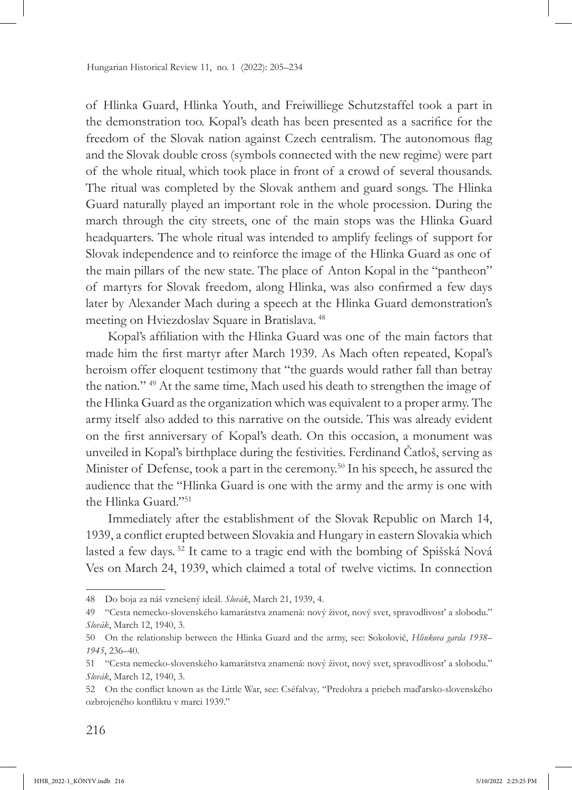of Hlinka Guard, Hlinka Youth, and Freiwilliege Schutzstaffel took a part in the demonstration too. Kopal's death has been presented as a sacrifice for the freedom of the Slovak nation against Czech centralism. The autonomous flag and the Slovak double cross (symbols connected with the new regime) were part of the whole ritual, which took place in front of a crowd of several thousands. The ritual was completed by the Slovak anthem and guard songs. The Hlinka Guard naturally played an important role in the whole procession. During the march through the city streets, one of the main stops was the Hlinka Guard headquarters. The whole ritual was intended to amplify feelings of support for Slovak independence and to reinforce the image of the Hlinka Guard as one of the main pillars of the new state. The place of Anton Kopal in the "pantheon" of martyrs for Slovak freedom, along Hlinka, was also confirmed a few days later by Alexander Mach during a speech at the Hlinka Guard demonstration's meeting on Hviezdoslav Square in Bratislava. 48

Kopal's affiliation with the Hlinka Guard was one of the main factors that made him the first martyr after March 1939. As Mach often repeated, Kopal's heroism offer eloquent testimony that "the guards would rather fall than betray the nation*.*" 49 At the same time, Mach used his death to strengthen the image of the Hlinka Guard as the organization which was equivalent to a proper army. The army itself also added to this narrative on the outside. This was already evident on the first anniversary of Kopal's death. On this occasion, a monument was unveiled in Kopal's birthplace during the festivities. Ferdinand Čatloš, serving as Minister of Defense, took a part in the ceremony.<sup>50</sup> In his speech, he assured the audience that the "Hlinka Guard is one with the army and the army is one with the Hlinka Guard<sup>"51</sup>

Immediately after the establishment of the Slovak Republic on March 14, 1939, a conflict erupted between Slovakia and Hungary in eastern Slovakia which lasted a few days. 52 It came to a tragic end with the bombing of Spišská Nová Ves on March 24, 1939, which claimed a total of twelve victims. In connection

<sup>48</sup> Do boja za náš vznešený ideál. *Slovák*, March 21, 1939, 4.

<sup>49</sup> "Cesta nemecko-slovenského kamarátstva znamená: nový život, nový svet, spravodlivosť a slobodu." *Slovák*, March 12, 1940, 3.

<sup>50</sup> On the relationship between the Hlinka Guard and the army, see: Sokolovič, *Hlinkova garda 1938– 1945*, 236–40.

<sup>51</sup> "Cesta nemecko-slovenského kamarátstva znamená: nový život, nový svet, spravodlivosť a slobodu." *Slovák*, March 12, 1940, 3.

<sup>52</sup> On the conflict known as the Little War, see: Cséfalvay*,* "Predohra a priebeh maďarsko-slovenského ozbrojeného konfliktu v marci 1939."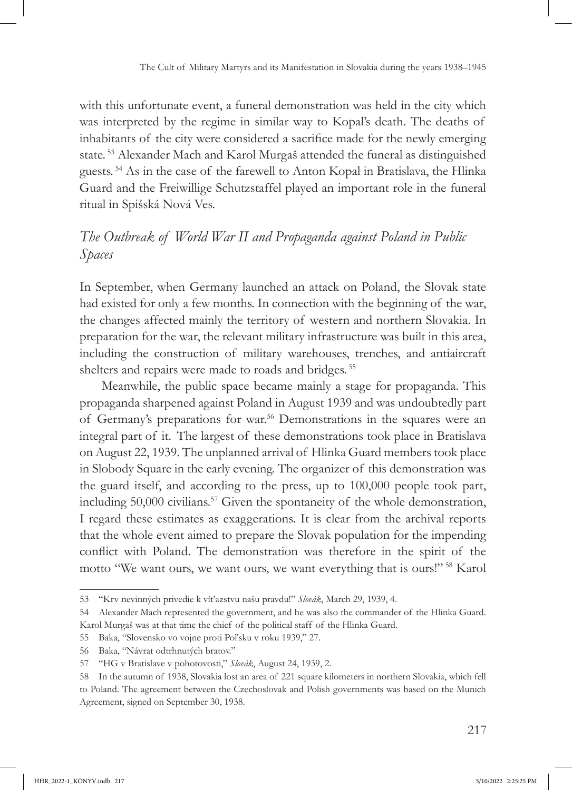with this unfortunate event, a funeral demonstration was held in the city which was interpreted by the regime in similar way to Kopal's death. The deaths of inhabitants of the city were considered a sacrifice made for the newly emerging state. 53 Alexander Mach and Karol Murgaš attended the funeral as distinguished guests. 54 As in the case of the farewell to Anton Kopal in Bratislava, the Hlinka Guard and the Freiwillige Schutzstaffel played an important role in the funeral ritual in Spišská Nová Ves.

## *The Outbreak of World War II and Propaganda against Poland in Public Spaces*

In September, when Germany launched an attack on Poland, the Slovak state had existed for only a few months. In connection with the beginning of the war, the changes affected mainly the territory of western and northern Slovakia. In preparation for the war, the relevant military infrastructure was built in this area, including the construction of military warehouses, trenches, and antiaircraft shelters and repairs were made to roads and bridges. 55

Meanwhile, the public space became mainly a stage for propaganda. This propaganda sharpened against Poland in August 1939 and was undoubtedly part of Germany's preparations for war.56 Demonstrations in the squares were an integral part of it. The largest of these demonstrations took place in Bratislava on August 22, 1939. The unplanned arrival of Hlinka Guard members took place in Slobody Square in the early evening. The organizer of this demonstration was the guard itself, and according to the press, up to 100,000 people took part, including 50,000 civilians.<sup>57</sup> Given the spontaneity of the whole demonstration, I regard these estimates as exaggerations. It is clear from the archival reports that the whole event aimed to prepare the Slovak population for the impending conflict with Poland. The demonstration was therefore in the spirit of the motto "We want ours, we want ours, we want everything that is ours!" 58 Karol

<sup>53</sup> "Krv nevinných privedie k víťazstvu našu pravdu!" *Slovák*, March 29, 1939, 4.

<sup>54</sup> Alexander Mach represented the government, and he was also the commander of the Hlinka Guard. Karol Murgaš was at that time the chief of the political staff of the Hlinka Guard.

<sup>55</sup> Baka, "Slovensko vo vojne proti Poľsku v roku 1939," 27.

<sup>56</sup> Baka, "Návrat odtrhnutých bratov."

<sup>57</sup> "HG v Bratislave v pohotovosti," *Slovák*, August 24, 1939, 2.

<sup>58</sup> In the autumn of 1938, Slovakia lost an area of 221 square kilometers in northern Slovakia, which fell to Poland. The agreement between the Czechoslovak and Polish governments was based on the Munich Agreement, signed on September 30, 1938.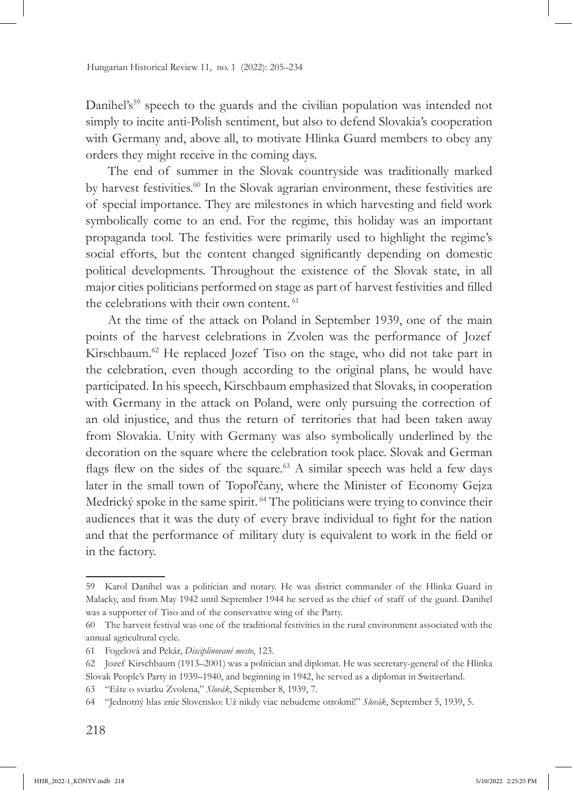Danihel's<sup>59</sup> speech to the guards and the civilian population was intended not simply to incite anti-Polish sentiment, but also to defend Slovakia's cooperation with Germany and, above all, to motivate Hlinka Guard members to obey any orders they might receive in the coming days.

The end of summer in the Slovak countryside was traditionally marked by harvest festivities.<sup>60</sup> In the Slovak agrarian environment, these festivities are of special importance. They are milestones in which harvesting and field work symbolically come to an end. For the regime, this holiday was an important propaganda tool. The festivities were primarily used to highlight the regime's social efforts, but the content changed significantly depending on domestic political developments. Throughout the existence of the Slovak state, in all major cities politicians performed on stage as part of harvest festivities and filled the celebrations with their own content.<sup>61</sup>

At the time of the attack on Poland in September 1939, one of the main points of the harvest celebrations in Zvolen was the performance of Jozef Kirschbaum.<sup>62</sup> He replaced Jozef Tiso on the stage, who did not take part in the celebration, even though according to the original plans, he would have participated. In his speech, Kirschbaum emphasized that Slovaks, in cooperation with Germany in the attack on Poland, were only pursuing the correction of an old injustice, and thus the return of territories that had been taken away from Slovakia. Unity with Germany was also symbolically underlined by the decoration on the square where the celebration took place. Slovak and German flags flew on the sides of the square.<sup>63</sup> A similar speech was held a few days later in the small town of Topoľčany, where the Minister of Economy Gejza Medrický spoke in the same spirit.<sup>64</sup> The politicians were trying to convince their audiences that it was the duty of every brave individual to fight for the nation and that the performance of military duty is equivalent to work in the field or in the factory.

<sup>59</sup> Karol Danihel was a politician and notary. He was district commander of the Hlinka Guard in Malacky, and from May 1942 until September 1944 he served as the chief of staff of the guard. Danihel was a supporter of Tiso and of the conservative wing of the Party.

<sup>60</sup> The harvest festival was one of the traditional festivities in the rural environment associated with the annual agricultural cycle.

<sup>61</sup> Fogelová and Pekár, *Disciplinované mesto*, 123.

<sup>62</sup> Jozef Kirschbaum (1913–2001) was a politician and diplomat. He was secretary-general of the Hlinka Slovak People's Party in 1939–1940, and beginning in 1942, he served as a diplomat in Switzerland.

<sup>63</sup> "Ešte o sviatku Zvolena," *Slovák*, September 8, 1939, 7.

<sup>64</sup> "Jednotný hlas znie Slovensko: Už nikdy viac nebudeme otrokmi!" *Slovák*, September 5, 1939, 5.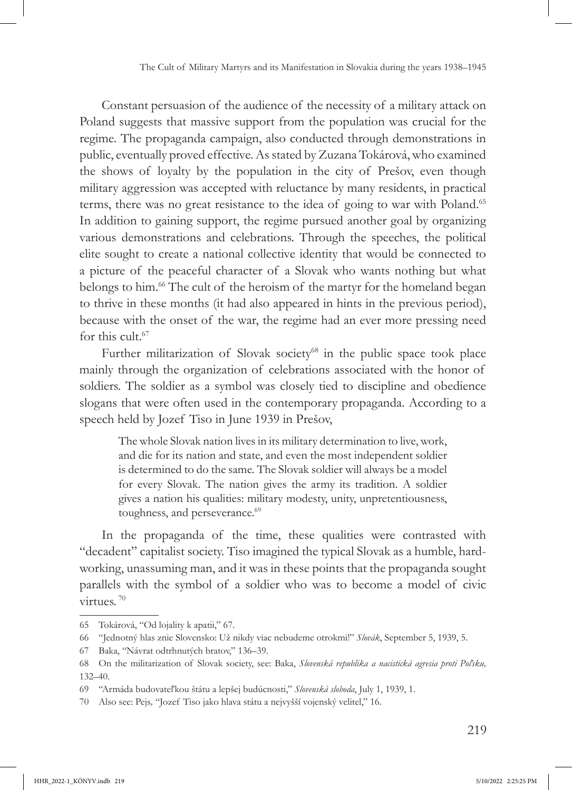Constant persuasion of the audience of the necessity of a military attack on Poland suggests that massive support from the population was crucial for the regime. The propaganda campaign, also conducted through demonstrations in public, eventually proved effective. As stated by Zuzana Tokárová, who examined the shows of loyalty by the population in the city of Prešov, even though military aggression was accepted with reluctance by many residents, in practical terms, there was no great resistance to the idea of going to war with Poland.<sup>65</sup> In addition to gaining support, the regime pursued another goal by organizing various demonstrations and celebrations. Through the speeches, the political elite sought to create a national collective identity that would be connected to a picture of the peaceful character of a Slovak who wants nothing but what belongs to him.<sup>66</sup> The cult of the heroism of the martyr for the homeland began to thrive in these months (it had also appeared in hints in the previous period), because with the onset of the war, the regime had an ever more pressing need for this cult  $67$ 

Further militarization of Slovak society<sup>68</sup> in the public space took place mainly through the organization of celebrations associated with the honor of soldiers. The soldier as a symbol was closely tied to discipline and obedience slogans that were often used in the contemporary propaganda. According to a speech held by Jozef Tiso in June 1939 in Prešov,

The whole Slovak nation lives in its military determination to live, work, and die for its nation and state, and even the most independent soldier is determined to do the same. The Slovak soldier will always be a model for every Slovak. The nation gives the army its tradition. A soldier gives a nation his qualities: military modesty, unity, unpretentiousness, toughness, and perseverance.<sup>69</sup>

In the propaganda of the time, these qualities were contrasted with "decadent" capitalist society. Tiso imagined the typical Slovak as a humble, hardworking, unassuming man, and it was in these points that the propaganda sought parallels with the symbol of a soldier who was to become a model of civic virtues. 70

<sup>65</sup> Tokárová, "Od lojality k apatii," 67.

<sup>66</sup> "Jednotný hlas znie Slovensko: Už nikdy viac nebudeme otrokmi!" *Slovák*, September 5, 1939, 5.

<sup>67</sup> Baka, "Návrat odtrhnutých bratov," 136–39.

<sup>68</sup> On the militarization of Slovak society, see: Baka, *Slovenská republika a nacistická agresia proti Poľsku,*  132–40.

<sup>69</sup> "Armáda budovateľkou štátu a lepšej budúcnosti," *Slovenská sloboda*, July 1, 1939, 1.

<sup>70</sup> Also see: Pejs*,* "Jozef Tiso jako hlava státu a nejvyšší vojenský velitel," 16.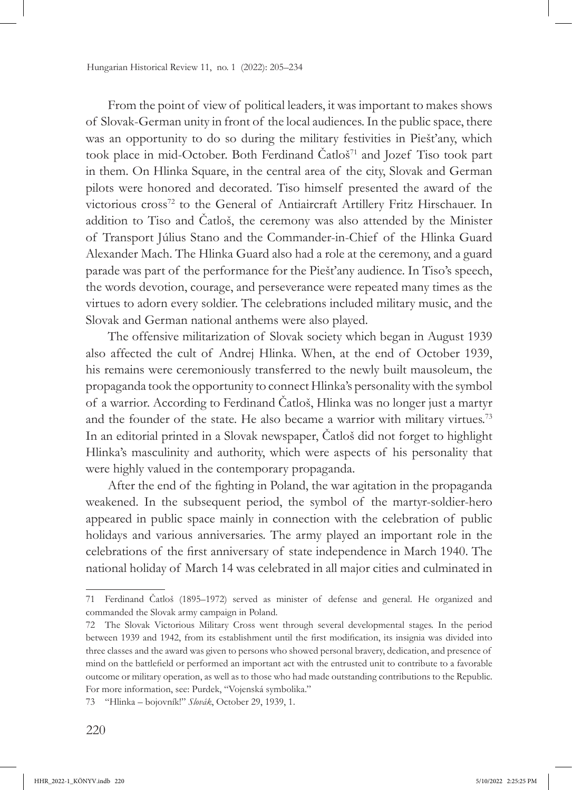From the point of view of political leaders, it was important to makes shows of Slovak-German unity in front of the local audiences. In the public space, there was an opportunity to do so during the military festivities in Piešťany, which took place in mid-October. Both Ferdinand Čatloš<sup>71</sup> and Jozef Tiso took part in them. On Hlinka Square, in the central area of the city, Slovak and German pilots were honored and decorated. Tiso himself presented the award of the victorious cross<sup>72</sup> to the General of Antiaircraft Artillery Fritz Hirschauer. In addition to Tiso and Čatloš, the ceremony was also attended by the Minister of Transport Július Stano and the Commander-in-Chief of the Hlinka Guard Alexander Mach. The Hlinka Guard also had a role at the ceremony, and a guard parade was part of the performance for the Piešťany audience. In Tiso's speech, the words devotion, courage, and perseverance were repeated many times as the virtues to adorn every soldier. The celebrations included military music, and the Slovak and German national anthems were also played.

The offensive militarization of Slovak society which began in August 1939 also affected the cult of Andrej Hlinka. When, at the end of October 1939, his remains were ceremoniously transferred to the newly built mausoleum, the propaganda took the opportunity to connect Hlinka's personality with the symbol of a warrior. According to Ferdinand Čatloš, Hlinka was no longer just a martyr and the founder of the state. He also became a warrior with military virtues.<sup>73</sup> In an editorial printed in a Slovak newspaper, Čatloš did not forget to highlight Hlinka's masculinity and authority, which were aspects of his personality that were highly valued in the contemporary propaganda.

After the end of the fighting in Poland, the war agitation in the propaganda weakened. In the subsequent period, the symbol of the martyr-soldier-hero appeared in public space mainly in connection with the celebration of public holidays and various anniversaries. The army played an important role in the celebrations of the first anniversary of state independence in March 1940. The national holiday of March 14 was celebrated in all major cities and culminated in

<sup>71</sup> Ferdinand Čatloš (1895–1972) served as minister of defense and general. He organized and commanded the Slovak army campaign in Poland.

<sup>72</sup> The Slovak Victorious Military Cross went through several developmental stages. In the period between 1939 and 1942, from its establishment until the first modification, its insignia was divided into three classes and the award was given to persons who showed personal bravery, dedication, and presence of mind on the battlefield or performed an important act with the entrusted unit to contribute to a favorable outcome or military operation, as well as to those who had made outstanding contributions to the Republic. For more information, see: Purdek, "Vojenská symbolika."

<sup>73</sup> "Hlinka – bojovník!" *Slovák*, October 29, 1939, 1.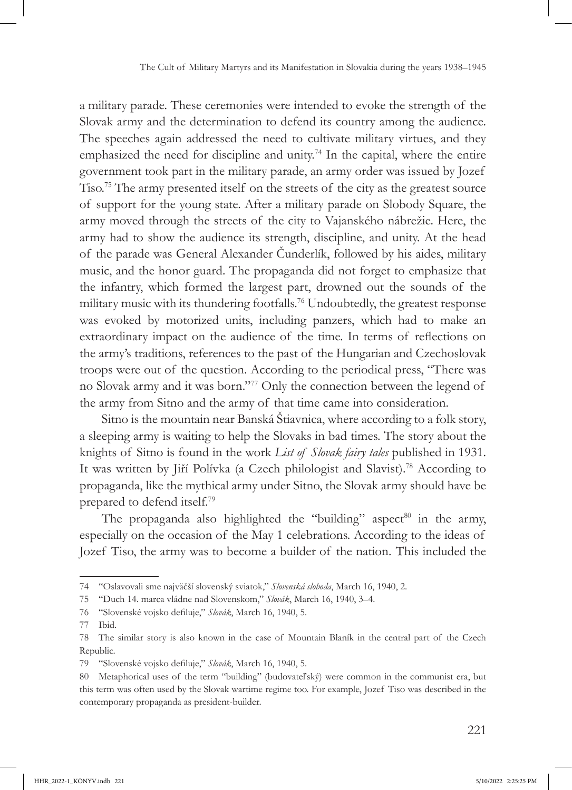a military parade. These ceremonies were intended to evoke the strength of the Slovak army and the determination to defend its country among the audience. The speeches again addressed the need to cultivate military virtues, and they emphasized the need for discipline and unity.<sup>74</sup> In the capital, where the entire government took part in the military parade, an army order was issued by Jozef Tiso.75 The army presented itself on the streets of the city as the greatest source of support for the young state. After a military parade on Slobody Square, the army moved through the streets of the city to Vajanského nábrežie. Here, the army had to show the audience its strength, discipline, and unity. At the head of the parade was General Alexander Čunderlík, followed by his aides, military music, and the honor guard. The propaganda did not forget to emphasize that the infantry, which formed the largest part, drowned out the sounds of the military music with its thundering footfalls.<sup>76</sup> Undoubtedly, the greatest response was evoked by motorized units, including panzers, which had to make an extraordinary impact on the audience of the time. In terms of reflections on the army's traditions, references to the past of the Hungarian and Czechoslovak troops were out of the question. According to the periodical press, "There was no Slovak army and it was born."<sup>77</sup> Only the connection between the legend of the army from Sitno and the army of that time came into consideration.

Sitno is the mountain near Banská Štiavnica, where according to a folk story, a sleeping army is waiting to help the Slovaks in bad times. The story about the knights of Sitno is found in the work *List of Slovak fairy tales* published in 1931. It was written by Jiří Polívka (a Czech philologist and Slavist).<sup>78</sup> According to propaganda, like the mythical army under Sitno, the Slovak army should have be prepared to defend itself.79

The propaganda also highlighted the "building" aspect<sup>80</sup> in the army, especially on the occasion of the May 1 celebrations. According to the ideas of Jozef Tiso, the army was to become a builder of the nation. This included the

<sup>74</sup> "Oslavovali sme najväčší slovenský sviatok," *Slovenská sloboda*, March 16, 1940, 2.

<sup>75</sup> "Duch 14. marca vládne nad Slovenskom," *Slovák*, March 16, 1940, 3–4.

<sup>76</sup> "Slovenské vojsko defiluje," *Slovák*, March 16, 1940, 5.

<sup>77</sup> Ibid.

<sup>78</sup> The similar story is also known in the case of Mountain Blaník in the central part of the Czech Republic.

<sup>79</sup> "Slovenské vojsko defiluje," *Slovák*, March 16, 1940, 5.

<sup>80</sup> Metaphorical uses of the term "building" (budovateľský) were common in the communist era, but this term was often used by the Slovak wartime regime too. For example, Jozef Tiso was described in the contemporary propaganda as president-builder.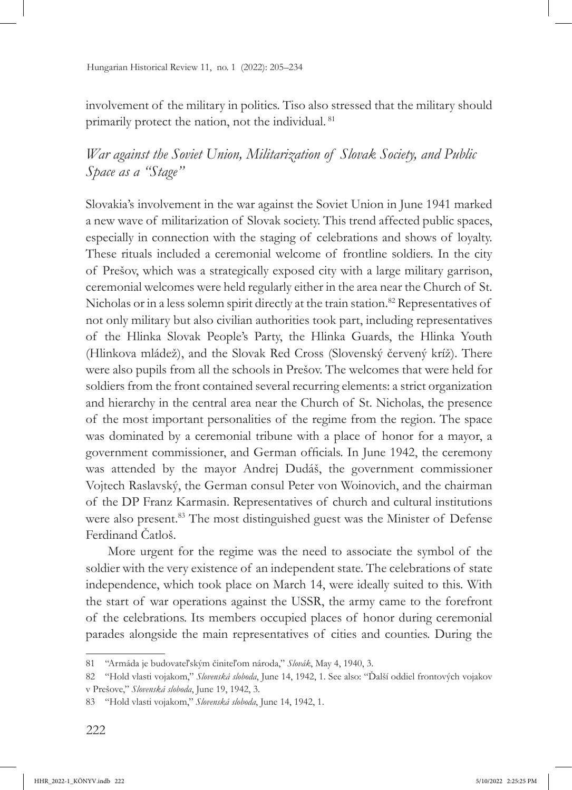involvement of the military in politics. Tiso also stressed that the military should primarily protect the nation, not the individual. 81

*War against the Soviet Union, Militarization of Slovak Society, and Public Space as a "Stage"*

Slovakia's involvement in the war against the Soviet Union in June 1941 marked a new wave of militarization of Slovak society. This trend affected public spaces, especially in connection with the staging of celebrations and shows of loyalty. These rituals included a ceremonial welcome of frontline soldiers. In the city of Prešov, which was a strategically exposed city with a large military garrison, ceremonial welcomes were held regularly either in the area near the Church of St. Nicholas or in a less solemn spirit directly at the train station.<sup>82</sup> Representatives of not only military but also civilian authorities took part, including representatives of the Hlinka Slovak People's Party, the Hlinka Guards, the Hlinka Youth (Hlinkova mládež), and the Slovak Red Cross (Slovenský červený kríž). There were also pupils from all the schools in Prešov. The welcomes that were held for soldiers from the front contained several recurring elements: a strict organization and hierarchy in the central area near the Church of St. Nicholas, the presence of the most important personalities of the regime from the region. The space was dominated by a ceremonial tribune with a place of honor for a mayor, a government commissioner, and German officials. In June 1942, the ceremony was attended by the mayor Andrej Dudáš, the government commissioner Vojtech Raslavský, the German consul Peter von Woinovich, and the chairman of the DP Franz Karmasin. Representatives of church and cultural institutions were also present.<sup>83</sup> The most distinguished guest was the Minister of Defense Ferdinand Čatloš.

More urgent for the regime was the need to associate the symbol of the soldier with the very existence of an independent state. The celebrations of state independence, which took place on March 14, were ideally suited to this. With the start of war operations against the USSR, the army came to the forefront of the celebrations. Its members occupied places of honor during ceremonial parades alongside the main representatives of cities and counties. During the

<sup>81</sup> "Armáda je budovateľským činiteľom národa," *Slovák*, May 4, 1940, 3.

<sup>82</sup> "Hold vlasti vojakom," *Slovenská sloboda*, June 14, 1942, 1. See also: "Ďalší oddiel frontových vojakov v Prešove," *Slovenská sloboda*, June 19, 1942, 3.

<sup>83</sup> "Hold vlasti vojakom," *Slovenská sloboda*, June 14, 1942, 1.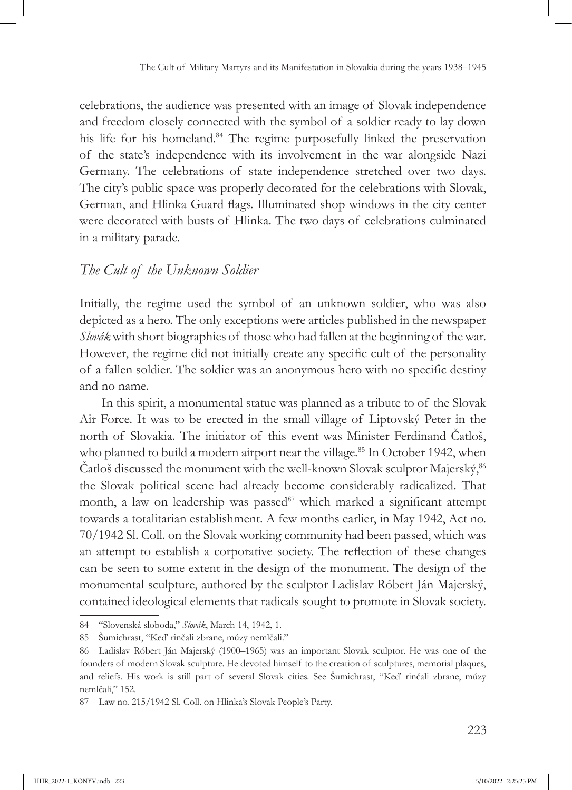celebrations, the audience was presented with an image of Slovak independence and freedom closely connected with the symbol of a soldier ready to lay down his life for his homeland.<sup>84</sup> The regime purposefully linked the preservation of the state's independence with its involvement in the war alongside Nazi Germany. The celebrations of state independence stretched over two days. The city's public space was properly decorated for the celebrations with Slovak, German, and Hlinka Guard flags. Illuminated shop windows in the city center were decorated with busts of Hlinka. The two days of celebrations culminated in a military parade.

#### *The Cult of the Unknown Soldier*

Initially, the regime used the symbol of an unknown soldier, who was also depicted as a hero. The only exceptions were articles published in the newspaper *Slovák* with short biographies of those who had fallen at the beginning of the war. However, the regime did not initially create any specific cult of the personality of a fallen soldier. The soldier was an anonymous hero with no specific destiny and no name.

In this spirit, a monumental statue was planned as a tribute to of the Slovak Air Force. It was to be erected in the small village of Liptovský Peter in the north of Slovakia. The initiator of this event was Minister Ferdinand Čatloš, who planned to build a modern airport near the village.<sup>85</sup> In October 1942, when Čatloš discussed the monument with the well-known Slovak sculptor Majerský,  $86$ the Slovak political scene had already become considerably radicalized. That month, a law on leadership was passed $87$  which marked a significant attempt towards a totalitarian establishment. A few months earlier, in May 1942, Act no. 70/1942 Sl. Coll. on the Slovak working community had been passed, which was an attempt to establish a corporative society. The reflection of these changes can be seen to some extent in the design of the monument. The design of the monumental sculpture, authored by the sculptor Ladislav Róbert Ján Majerský, contained ideological elements that radicals sought to promote in Slovak society.

<sup>84</sup> "Slovenská sloboda," *Slovák*, March 14, 1942, 1.

<sup>85</sup> Šumichrast, "Keď rinčali zbrane, múzy nemlčali."

<sup>86</sup> Ladislav Róbert Ján Majerský (1900–1965) was an important Slovak sculptor. He was one of the founders of modern Slovak sculpture. He devoted himself to the creation of sculptures, memorial plaques, and reliefs. His work is still part of several Slovak cities. See Šumichrast, "Keď rinčali zbrane, múzy nemlčali," 152.

<sup>87</sup> Law no. 215/1942 Sl. Coll. on Hlinka's Slovak People's Party.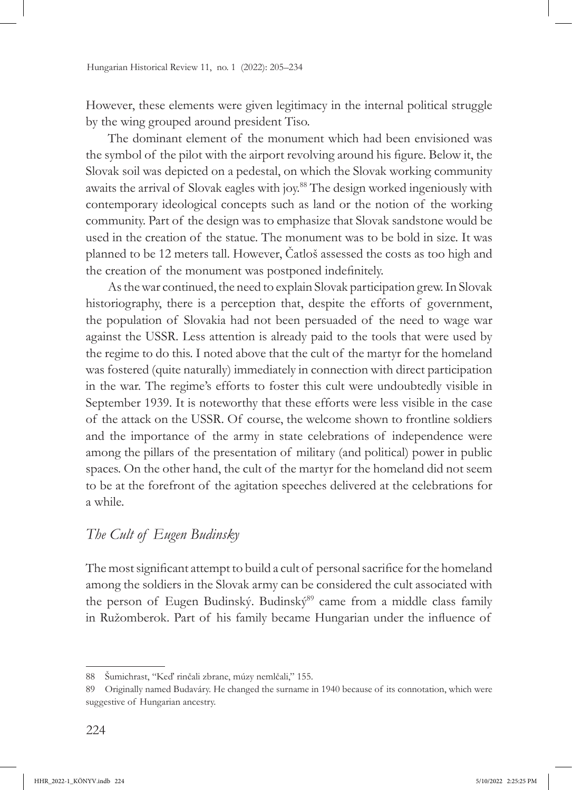However, these elements were given legitimacy in the internal political struggle by the wing grouped around president Tiso.

The dominant element of the monument which had been envisioned was the symbol of the pilot with the airport revolving around his figure. Below it, the Slovak soil was depicted on a pedestal, on which the Slovak working community awaits the arrival of Slovak eagles with joy.88 The design worked ingeniously with contemporary ideological concepts such as land or the notion of the working community. Part of the design was to emphasize that Slovak sandstone would be used in the creation of the statue. The monument was to be bold in size. It was planned to be 12 meters tall. However, Čatloš assessed the costs as too high and the creation of the monument was postponed indefinitely.

As the war continued, the need to explain Slovak participation grew. In Slovak historiography, there is a perception that, despite the efforts of government, the population of Slovakia had not been persuaded of the need to wage war against the USSR. Less attention is already paid to the tools that were used by the regime to do this. I noted above that the cult of the martyr for the homeland was fostered (quite naturally) immediately in connection with direct participation in the war. The regime's efforts to foster this cult were undoubtedly visible in September 1939. It is noteworthy that these efforts were less visible in the case of the attack on the USSR. Of course, the welcome shown to frontline soldiers and the importance of the army in state celebrations of independence were among the pillars of the presentation of military (and political) power in public spaces. On the other hand, the cult of the martyr for the homeland did not seem to be at the forefront of the agitation speeches delivered at the celebrations for a while.

## *The Cult of Eugen Budinsky*

The most significant attempt to build a cult of personal sacrifice for the homeland among the soldiers in the Slovak army can be considered the cult associated with the person of Eugen Budinský. Budinský<sup>89</sup> came from a middle class family in Ružomberok. Part of his family became Hungarian under the influence of

<sup>88</sup> Šumichrast, "Keď rinčali zbrane, múzy nemlčali," 155.

<sup>89</sup> Originally named Budaváry. He changed the surname in 1940 because of its connotation, which were suggestive of Hungarian ancestry.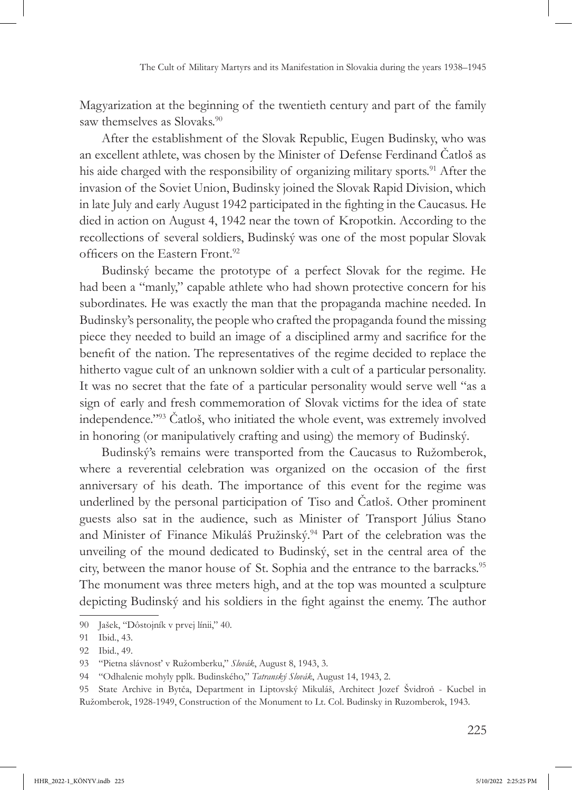Magyarization at the beginning of the twentieth century and part of the family saw themselves as Slovaks.<sup>90</sup>

After the establishment of the Slovak Republic, Eugen Budinsky, who was an excellent athlete, was chosen by the Minister of Defense Ferdinand Čatloš as his aide charged with the responsibility of organizing military sports.<sup>91</sup> After the invasion of the Soviet Union, Budinsky joined the Slovak Rapid Division, which in late July and early August 1942 participated in the fighting in the Caucasus. He died in action on August 4, 1942 near the town of Kropotkin. According to the recollections of several soldiers, Budinský was one of the most popular Slovak officers on the Eastern Front.<sup>92</sup>

Budinský became the prototype of a perfect Slovak for the regime. He had been a "manly," capable athlete who had shown protective concern for his subordinates. He was exactly the man that the propaganda machine needed. In Budinsky's personality, the people who crafted the propaganda found the missing piece they needed to build an image of a disciplined army and sacrifice for the benefit of the nation. The representatives of the regime decided to replace the hitherto vague cult of an unknown soldier with a cult of a particular personality. It was no secret that the fate of a particular personality would serve well "as a sign of early and fresh commemoration of Slovak victims for the idea of state independence."<sup>93</sup> Čatloš, who initiated the whole event, was extremely involved in honoring (or manipulatively crafting and using) the memory of Budinský.

Budinský's remains were transported from the Caucasus to Ružomberok, where a reverential celebration was organized on the occasion of the first anniversary of his death. The importance of this event for the regime was underlined by the personal participation of Tiso and Čatloš. Other prominent guests also sat in the audience, such as Minister of Transport Július Stano and Minister of Finance Mikuláš Pružinský.<sup>94</sup> Part of the celebration was the unveiling of the mound dedicated to Budinský, set in the central area of the city, between the manor house of St. Sophia and the entrance to the barracks.<sup>95</sup> The monument was three meters high, and at the top was mounted a sculpture depicting Budinský and his soldiers in the fight against the enemy. The author

<sup>90</sup> Jašek, "Dôstojník v prvej línii," 40.

<sup>91</sup> Ibid., 43.

<sup>92</sup> Ibid., 49.

<sup>93</sup> "Pietna slávnosť v Ružomberku," *Slovák*, August 8, 1943, 3.

<sup>94</sup> "Odhalenie mohyly pplk. Budinského," *Tatranský Slovák*, August 14, 1943, 2.

<sup>95</sup> State Archive in Bytča, Department in Liptovský Mikuláš, Architect Jozef Švidroň - Kucbel in Ružomberok, 1928-1949, Construction of the Monument to Lt. Col. Budinsky in Ruzomberok, 1943.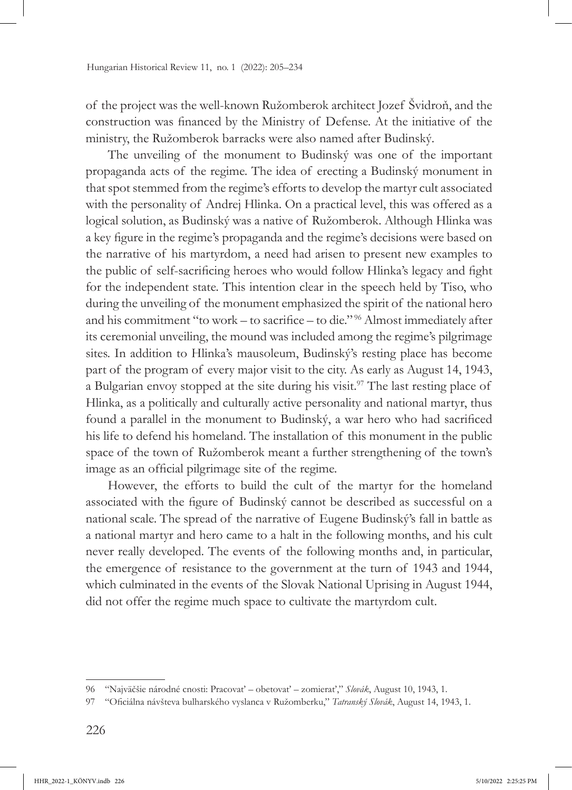of the project was the well-known Ružomberok architect Jozef Švidroň, and the construction was financed by the Ministry of Defense. At the initiative of the ministry, the Ružomberok barracks were also named after Budinský.

The unveiling of the monument to Budinský was one of the important propaganda acts of the regime. The idea of erecting a Budinský monument in that spot stemmed from the regime's efforts to develop the martyr cult associated with the personality of Andrej Hlinka. On a practical level, this was offered as a logical solution, as Budinský was a native of Ružomberok. Although Hlinka was a key figure in the regime's propaganda and the regime's decisions were based on the narrative of his martyrdom, a need had arisen to present new examples to the public of self-sacrificing heroes who would follow Hlinka's legacy and fight for the independent state. This intention clear in the speech held by Tiso, who during the unveiling of the monument emphasized the spirit of the national hero and his commitment "to work – to sacrifice – to die." 96 Almost immediately after its ceremonial unveiling, the mound was included among the regime's pilgrimage sites. In addition to Hlinka's mausoleum, Budinský's resting place has become part of the program of every major visit to the city. As early as August 14, 1943, a Bulgarian envoy stopped at the site during his visit.<sup>97</sup> The last resting place of Hlinka, as a politically and culturally active personality and national martyr, thus found a parallel in the monument to Budinský, a war hero who had sacrificed his life to defend his homeland. The installation of this monument in the public space of the town of Ružomberok meant a further strengthening of the town's image as an official pilgrimage site of the regime.

However, the efforts to build the cult of the martyr for the homeland associated with the figure of Budinský cannot be described as successful on a national scale. The spread of the narrative of Eugene Budinský's fall in battle as a national martyr and hero came to a halt in the following months, and his cult never really developed. The events of the following months and, in particular, the emergence of resistance to the government at the turn of 1943 and 1944, which culminated in the events of the Slovak National Uprising in August 1944, did not offer the regime much space to cultivate the martyrdom cult.

<sup>96</sup> "Najväčšie národné cnosti: Pracovať – obetovať – zomierať," *Slovák*, August 10, 1943, 1.

<sup>97</sup> "Oficiálna návšteva bulharského vyslanca v Ružomberku," *Tatranský Slovák*, August 14, 1943, 1.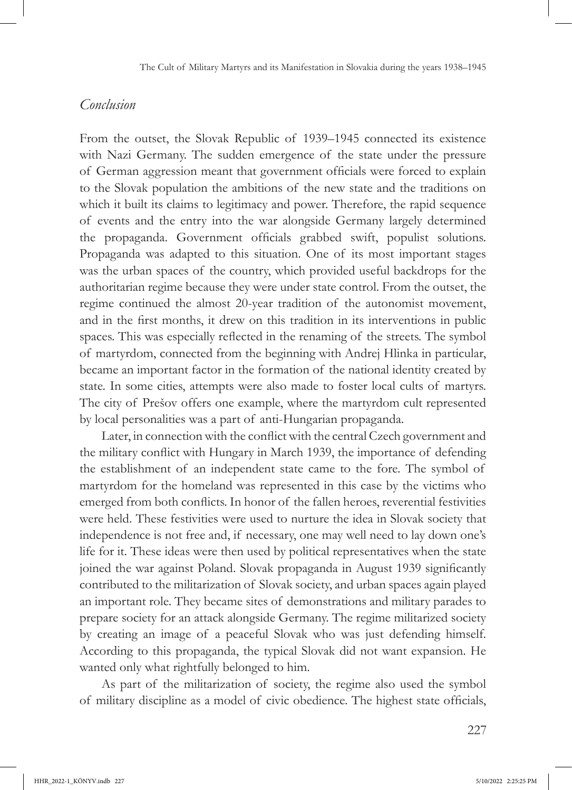#### *Conclusion*

From the outset, the Slovak Republic of 1939–1945 connected its existence with Nazi Germany. The sudden emergence of the state under the pressure of German aggression meant that government officials were forced to explain to the Slovak population the ambitions of the new state and the traditions on which it built its claims to legitimacy and power. Therefore, the rapid sequence of events and the entry into the war alongside Germany largely determined the propaganda. Government officials grabbed swift, populist solutions. Propaganda was adapted to this situation. One of its most important stages was the urban spaces of the country, which provided useful backdrops for the authoritarian regime because they were under state control. From the outset, the regime continued the almost 20-year tradition of the autonomist movement, and in the first months, it drew on this tradition in its interventions in public spaces. This was especially reflected in the renaming of the streets. The symbol of martyrdom, connected from the beginning with Andrej Hlinka in particular, became an important factor in the formation of the national identity created by state. In some cities, attempts were also made to foster local cults of martyrs. The city of Prešov offers one example, where the martyrdom cult represented by local personalities was a part of anti-Hungarian propaganda.

Later, in connection with the conflict with the central Czech government and the military conflict with Hungary in March 1939, the importance of defending the establishment of an independent state came to the fore. The symbol of martyrdom for the homeland was represented in this case by the victims who emerged from both conflicts. In honor of the fallen heroes, reverential festivities were held. These festivities were used to nurture the idea in Slovak society that independence is not free and, if necessary, one may well need to lay down one's life for it. These ideas were then used by political representatives when the state joined the war against Poland. Slovak propaganda in August 1939 significantly contributed to the militarization of Slovak society, and urban spaces again played an important role. They became sites of demonstrations and military parades to prepare society for an attack alongside Germany. The regime militarized society by creating an image of a peaceful Slovak who was just defending himself. According to this propaganda, the typical Slovak did not want expansion. He wanted only what rightfully belonged to him.

As part of the militarization of society, the regime also used the symbol of military discipline as a model of civic obedience. The highest state officials,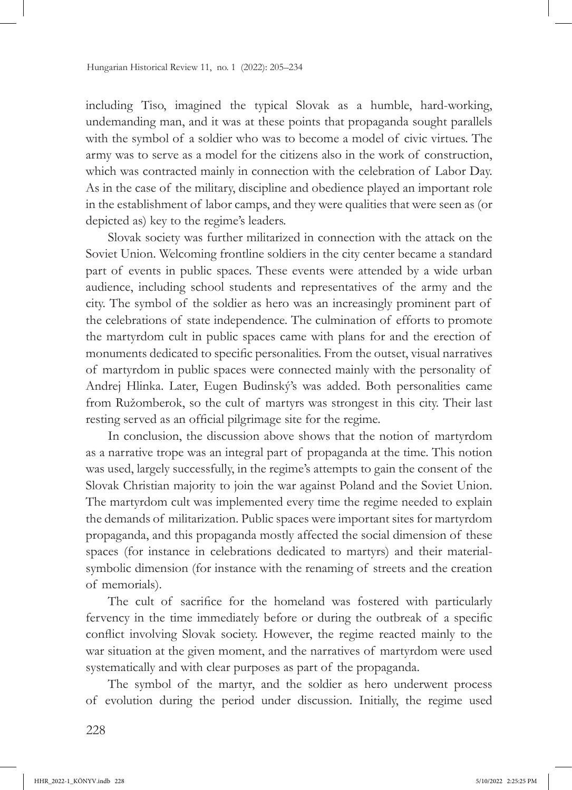including Tiso, imagined the typical Slovak as a humble, hard-working, undemanding man, and it was at these points that propaganda sought parallels with the symbol of a soldier who was to become a model of civic virtues. The army was to serve as a model for the citizens also in the work of construction, which was contracted mainly in connection with the celebration of Labor Day. As in the case of the military, discipline and obedience played an important role in the establishment of labor camps, and they were qualities that were seen as (or depicted as) key to the regime's leaders.

Slovak society was further militarized in connection with the attack on the Soviet Union. Welcoming frontline soldiers in the city center became a standard part of events in public spaces. These events were attended by a wide urban audience, including school students and representatives of the army and the city. The symbol of the soldier as hero was an increasingly prominent part of the celebrations of state independence. The culmination of efforts to promote the martyrdom cult in public spaces came with plans for and the erection of monuments dedicated to specific personalities. From the outset, visual narratives of martyrdom in public spaces were connected mainly with the personality of Andrej Hlinka. Later, Eugen Budinský's was added. Both personalities came from Ružomberok, so the cult of martyrs was strongest in this city. Their last resting served as an official pilgrimage site for the regime.

In conclusion, the discussion above shows that the notion of martyrdom as a narrative trope was an integral part of propaganda at the time. This notion was used, largely successfully, in the regime's attempts to gain the consent of the Slovak Christian majority to join the war against Poland and the Soviet Union. The martyrdom cult was implemented every time the regime needed to explain the demands of militarization. Public spaces were important sites for martyrdom propaganda, and this propaganda mostly affected the social dimension of these spaces (for instance in celebrations dedicated to martyrs) and their materialsymbolic dimension (for instance with the renaming of streets and the creation of memorials).

The cult of sacrifice for the homeland was fostered with particularly fervency in the time immediately before or during the outbreak of a specific conflict involving Slovak society. However, the regime reacted mainly to the war situation at the given moment, and the narratives of martyrdom were used systematically and with clear purposes as part of the propaganda.

The symbol of the martyr, and the soldier as hero underwent process of evolution during the period under discussion. Initially, the regime used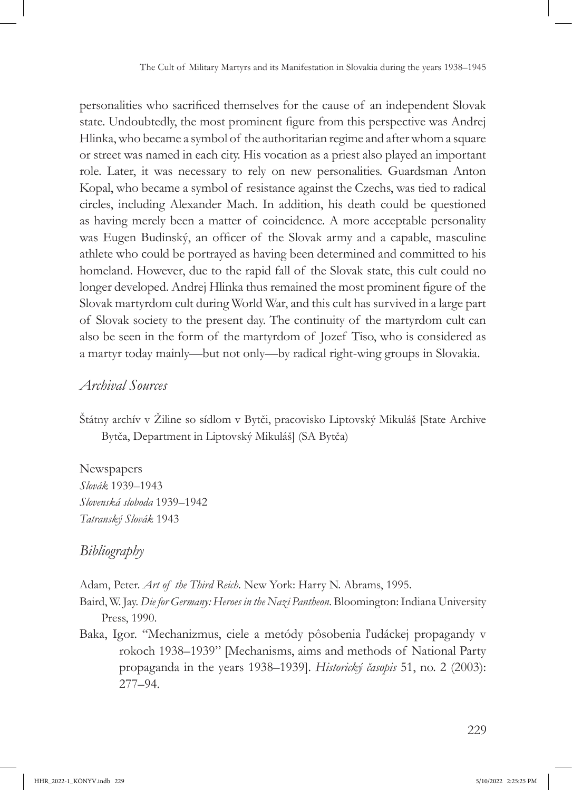personalities who sacrificed themselves for the cause of an independent Slovak state. Undoubtedly, the most prominent figure from this perspective was Andrej Hlinka, who became a symbol of the authoritarian regime and after whom a square or street was named in each city. His vocation as a priest also played an important role. Later, it was necessary to rely on new personalities. Guardsman Anton Kopal, who became a symbol of resistance against the Czechs, was tied to radical circles, including Alexander Mach. In addition, his death could be questioned as having merely been a matter of coincidence. A more acceptable personality was Eugen Budinský, an officer of the Slovak army and a capable, masculine athlete who could be portrayed as having been determined and committed to his homeland. However, due to the rapid fall of the Slovak state, this cult could no longer developed. Andrej Hlinka thus remained the most prominent figure of the Slovak martyrdom cult during World War, and this cult has survived in a large part of Slovak society to the present day. The continuity of the martyrdom cult can also be seen in the form of the martyrdom of Jozef Tiso, who is considered as a martyr today mainly—but not only—by radical right-wing groups in Slovakia.

## *Archival Sources*

Štátny archív v Žiline so sídlom v Bytči, pracovisko Liptovský Mikuláš [State Archive Bytča, Department in Liptovský Mikuláš] (SA Bytča)

Newspapers *Slovák* 1939–1943 *Slovenská sloboda* 1939–1942 *Tatranský Slovák* 1943

## *Bibliography*

Adam, Peter. *Art of the Third Reich.* New York: Harry N. Abrams, 1995.

Baird, W. Jay. *Die for Germany: Heroes in the Nazi Pantheon*. Bloomington: Indiana University Press, 1990.

Baka, Igor. "Mechanizmus, ciele a metódy pôsobenia ľudáckej propagandy v rokoch 1938–1939" [Mechanisms, aims and methods of National Party propaganda in the years 1938–1939]. *Historický časopis* 51, no. 2 (2003): 277–94.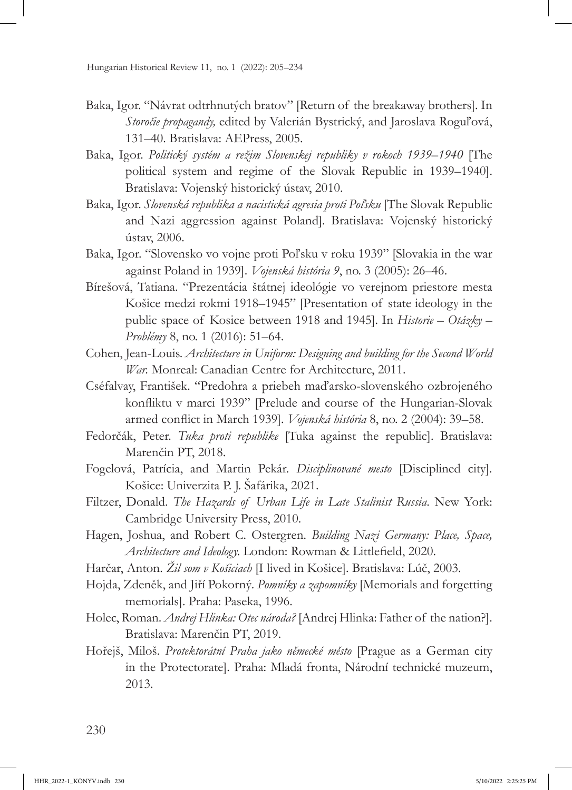- Baka, Igor. "Návrat odtrhnutých bratov" [Return of the breakaway brothers]. In *Storočie propagandy,* edited by Valerián Bystrický, and Jaroslava Roguľová, 131–40. Bratislava: AEPress, 2005.
- Baka, Igor. *Politický systém a režim Slovenskej republiky v rokoch 1939–1940* [The political system and regime of the Slovak Republic in 1939–1940]. Bratislava: Vojenský historický ústav, 2010.
- Baka, Igor. *Slovenská republika a nacistická agresia proti Poľsku* [The Slovak Republic and Nazi aggression against Poland]. Bratislava: Vojenský historický ústav, 2006.
- Baka, Igor. "Slovensko vo vojne proti Poľsku v roku 1939" [Slovakia in the war against Poland in 1939]. *Vojenská história 9*, no. 3 (2005): 26–46.
- Bírešová, Tatiana. "Prezentácia štátnej ideológie vo verejnom priestore mesta Košice medzi rokmi 1918–1945" [Presentation of state ideology in the public space of Kosice between 1918 and 1945]. In *Historie – Otázky – Problémy* 8, no. 1 (2016): 51–64.
- Cohen, Jean-Louis. *Architecture in Uniform: Designing and building for the Second World War.* Monreal: Canadian Centre for Architecture, 2011.
- Cséfalvay, František. "Predohra a priebeh maďarsko-slovenského ozbrojeného konfliktu v marci 1939" [Prelude and course of the Hungarian-Slovak armed conflict in March 1939]. *Vojenská história* 8, no. 2 (2004): 39–58.
- Fedorčák, Peter. *Tuka proti republike* [Tuka against the republic]. Bratislava: Marenčin PT, 2018.
- Fogelová, Patrícia, and Martin Pekár. *Disciplinované mesto* [Disciplined city]*.* Košice: Univerzita P. J. Šafárika, 2021.
- Filtzer, Donald. *The Hazards of Urban Life in Late Stalinist Russia*. New York: Cambridge University Press, 2010.
- Hagen, Joshua, and Robert C. Ostergren. *Building Nazi Germany: Place, Space, Architecture and Ideology.* London: Rowman & Littlefield, 2020.
- Harčar, Anton. *Žil som v Košiciach* [I lived in Košice]. Bratislava: Lúč, 2003.
- Hojda, Zdeněk, and Jiří Pokorný. *Pomníky a zapomníky* [Memorials and forgetting memorials]. Praha: Paseka, 1996.
- Holec, Roman. *Andrej Hlinka: Otec národa?* [Andrej Hlinka: Father of the nation?]. Bratislava: Marenčin PT, 2019.
- Hořejš, Miloš. *Protektorátní Praha jako německé město* [Prague as a German city in the Protectorate]. Praha: Mladá fronta, Národní technické muzeum, 2013.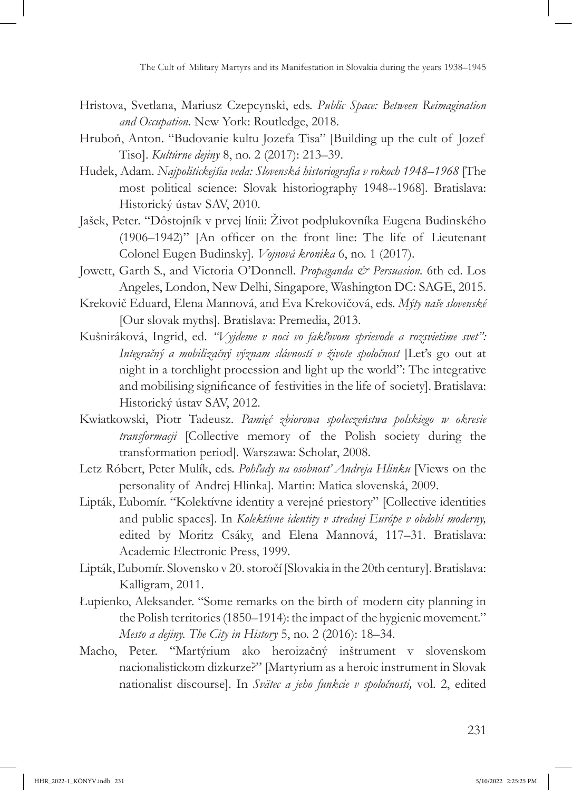- Hristova, Svetlana, Mariusz Czepcynski, eds. *Public Space: Between Reimagination and Occupation.* New York: Routledge, 2018.
- Hruboň, Anton. "Budovanie kultu Jozefa Tisa" [Building up the cult of Jozef Tiso]. *Kultúrne dejiny* 8, no. 2 (2017): 213–39.
- Hudek, Adam. *Najpolitickejšia veda: Slovenská historiografia v rokoch 1948–1968* [The most political science: Slovak historiography 1948--1968]. Bratislava: Historický ústav SAV, 2010.
- Jašek, Peter. "Dôstojník v prvej línii: Život podplukovníka Eugena Budinského (1906–1942)" [An officer on the front line: The life of Lieutenant Colonel Eugen Budinsky]. *Vojnová kronika* 6, no. 1 (2017).
- Jowett, Garth S., and Victoria O'Donnell. *Propaganda & Persuasion*. 6th ed. Los Angeles, London, New Delhi, Singapore, Washington DC: SAGE, 2015.
- Krekovič Eduard, Elena Mannová, and Eva Krekovičová, eds. *Mýty naše slovenské*  [Our slovak myths]. Bratislava: Premedia, 2013.
- Kušniráková, Ingrid, ed. *"Vyjdeme v noci vo fakľovom sprievode a rozsvietime svet": Integračný a mobilizačný význam slávností v živote spoločnost* [Let's go out at night in a torchlight procession and light up the world": The integrative and mobilising significance of festivities in the life of society]. Bratislava: Historický ústav SAV, 2012.
- Kwiatkowski, Piotr Tadeusz. *Pamięć zbiorowa społeczeństwa polskiego w okresie transformacji* [Collective memory of the Polish society during the transformation period]*.* Warszawa: Scholar, 2008.
- Letz Róbert, Peter Mulík, eds. *Pohľady na osobnosť Andreja Hlinku* [Views on the personality of Andrej Hlinka]*.* Martin: Matica slovenská, 2009.
- Lipták, Ľubomír. "Kolektívne identity a verejné priestory" [Collective identities and public spaces]. In *Kolektívne identity v strednej Európe v období moderny,*  edited by Moritz Csáky, and Elena Mannová, 117–31. Bratislava: Academic Electronic Press, 1999.
- Lipták, Ľubomír. Slovensko v 20. storočí [Slovakia in the 20th century]. Bratislava: Kalligram, 2011.
- Łupienko, Aleksander. "Some remarks on the birth of modern city planning in the Polish territories (1850–1914): the impact of the hygienic movement." *Mesto a dejiny. The City in History* 5, no. 2 (2016): 18–34.
- Macho, Peter. "Martýrium ako heroizačný inštrument v slovenskom nacionalistickom dizkurze?" [Martyrium as a heroic instrument in Slovak nationalist discourse]. In *Svätec a jeho funkcie v spoločnosti,* vol. 2, edited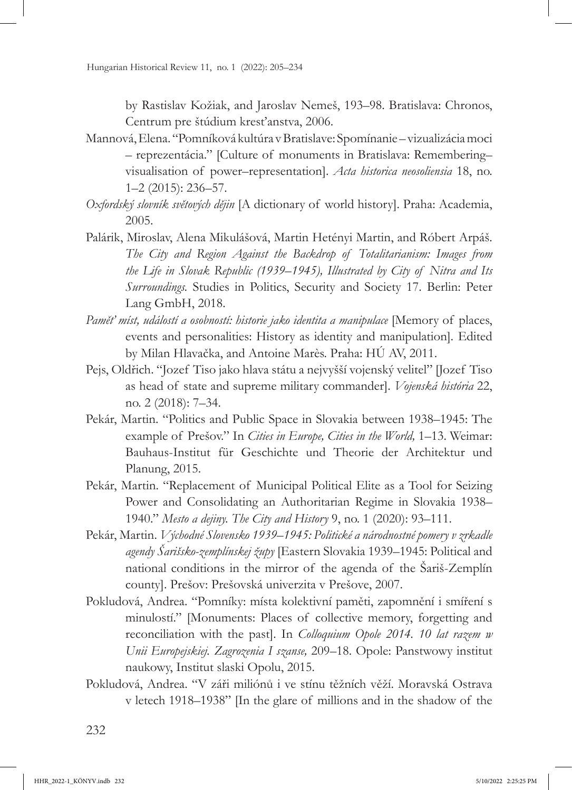by Rastislav Kožiak, and Jaroslav Nemeš, 193–98. Bratislava: Chronos, Centrum pre štúdium kresťanstva, 2006.

- Mannová, Elena. "Pomníková kultúra v Bratislave: Spomínanie vizualizácia moci – reprezentácia." [Culture of monuments in Bratislava: Remembering– visualisation of power–representation]. *Acta historica neosoliensia* 18, no. 1–2 (2015): 236–57.
- *Oxfordský slovník světových dějin* [A dictionary of world history]. Praha: Academia, 2005.
- Palárik, Miroslav, Alena Mikulášová, Martin Hetényi Martin, and Róbert Arpáš. *The City and Region Against the Backdrop of Totalitarianism: Images from the Life in Slovak Republic (1939–1945), Illustrated by City of Nitra and Its Surroundings.* Studies in Politics, Security and Society 17. Berlin: Peter Lang GmbH, 2018.
- *Paměť míst, událostí a osobností: historie jako identita a manipulace* [Memory of places, events and personalities: History as identity and manipulation]*.* Edited by Milan Hlavačka, and Antoine Marès. Praha: HÚ AV, 2011.
- Pejs, Oldřich. "Jozef Tiso jako hlava státu a nejvyšší vojenský velitel" [Jozef Tiso as head of state and supreme military commander]. *Vojenská história* 22, no. 2 (2018): 7–34.
- Pekár, Martin. "Politics and Public Space in Slovakia between 1938–1945: The example of Prešov." In *Cities in Europe, Cities in the World,* 1–13. Weimar: Bauhaus-Institut für Geschichte und Theorie der Architektur und Planung, 2015.
- Pekár, Martin. "Replacement of Municipal Political Elite as a Tool for Seizing Power and Consolidating an Authoritarian Regime in Slovakia 1938– 1940." *Mesto a dejiny. The City and History* 9, no. 1 (2020): 93–111.
- Pekár, Martin. *Východné Slovensko 1939–1945: Politické a národnostné pomery v zrkadle agendy Šarišsko-zemplínskej župy* [Eastern Slovakia 1939–1945: Political and national conditions in the mirror of the agenda of the Šariš-Zemplín county]. Prešov: Prešovská univerzita v Prešove, 2007.
- Pokludová, Andrea. "Pomníky: místa kolektivní paměti, zapomnění i smíření s minulostí." [Monuments: Places of collective memory, forgetting and reconciliation with the past]. In *Colloquium Opole 2014. 10 lat razem w Unii Europejskiej. Zagrozenia I szanse,* 209–18. Opole: Panstwowy institut naukowy, Institut slaski Opolu, 2015.
- Pokludová, Andrea. "V záři miliónů i ve stínu těžních věží. Moravská Ostrava v letech 1918–1938" [In the glare of millions and in the shadow of the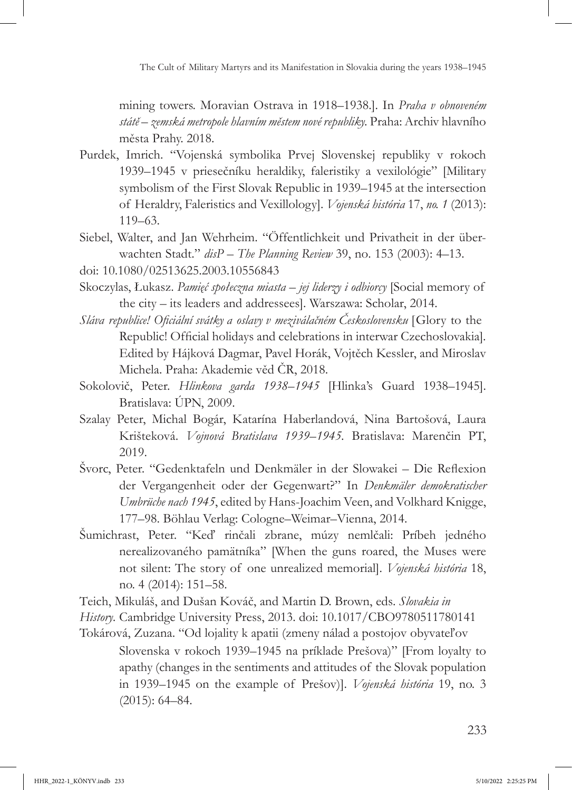mining towers. Moravian Ostrava in 1918–1938.]. In *Praha v obnoveném státě – zemská metropole hlavním městem nové republiky.* Praha: Archiv hlavního města Prahy. 2018.

- Purdek, Imrich. "Vojenská symbolika Prvej Slovenskej republiky v rokoch 1939–1945 v priesečníku heraldiky, faleristiky a vexilológie" [Military symbolism of the First Slovak Republic in 1939–1945 at the intersection of Heraldry, Faleristics and Vexillology]. *Vojenská história* 17, *no. 1* (2013): 119–63.
- Siebel, Walter, and Jan Wehrheim. "Öffentlichkeit und Privatheit in der überwachten Stadt." *disP – The Planning Review* 39, no. 153 (2003): 4–13.
- doi: [10.1080/02513625.2003.10556843](https://doi.org/10.1080/02513625.2003.10556843)
- Skoczylas, Łukasz. *Pamięć społeczna miasta jej liderzy i odbiorcy* [Social memory of the city – its leaders and addressees]. Warszawa: Scholar, 2014.
- *Sláva republice! Oficiální svátky a oslavy v meziválačném Československu* [Glory to the Republic! Official holidays and celebrations in interwar Czechoslovakia]*.* Edited by Hájková Dagmar, Pavel Horák, Vojtěch Kessler, and Miroslav Michela. Praha: Akademie věd ČR, 2018.
- Sokolovič, Peter. *Hlinkova garda 1938–1945* [Hlinka's Guard 1938–1945]. Bratislava: ÚPN, 2009.
- Szalay Peter, Michal Bogár, Katarína Haberlandová, Nina Bartošová, Laura Krišteková. *Vojnová Bratislava 1939–1945.* Bratislava: Marenčin PT, 2019.
- Švorc, Peter. "Gedenktafeln und Denkmäler in der Slowakei Die Reflexion der Vergangenheit oder der Gegenwart?" In *Denkmäler demokratischer Umbrüche nach 1945*, edited by Hans-Joachim Veen, and Volkhard Knigge, 177–98. Böhlau Verlag: Cologne–Weimar–Vienna, 2014.
- Šumichrast, Peter. "Keď rinčali zbrane, múzy nemlčali: Príbeh jedného nerealizovaného pamätníka" [When the guns roared, the Muses were not silent: The story of one unrealized memorial]. *Vojenská história* 18, no. 4 (2014): 151–58.
- Teich, Mikuláš, and Dušan Kováč, and Martin D. Brown, eds. *Slovakia in*
- *History.* Cambridge University Press, 2013. doi: [10.1017/CBO9780511780141](https://doi.org/10.1017/CBO9780511780141)
- Tokárová, Zuzana. "Od lojality k apatii (zmeny nálad a postojov obyvateľov Slovenska v rokoch 1939–1945 na príklade Prešova)" [From loyalty to apathy (changes in the sentiments and attitudes of the Slovak population in 1939–1945 on the example of Prešov)]. *Vojenská história* 19, no. 3 (2015): 64–84.